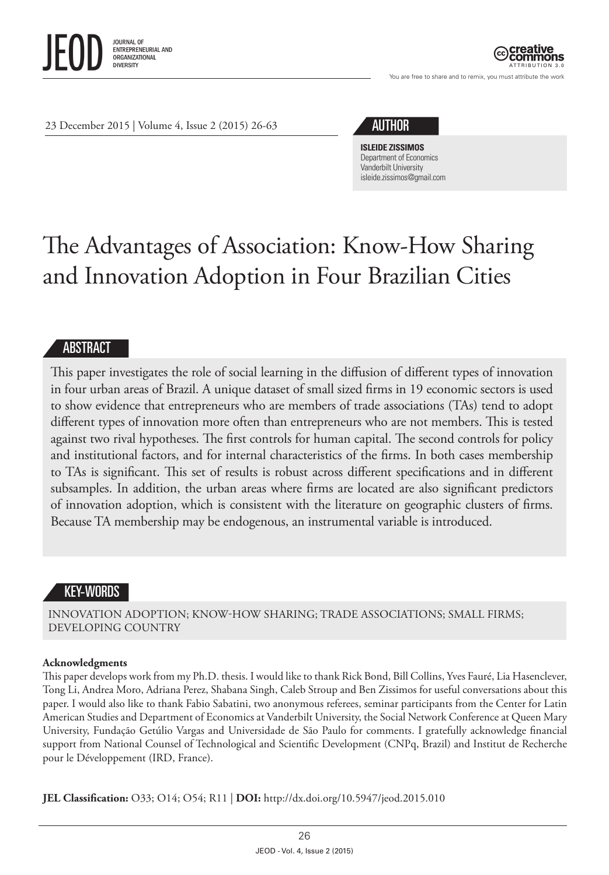

ATTRIBUTION 3.0

You are free to share and to remix, you must attribute the work

23 December 2015 | Volume 4, Issue 2 (2015) 26-63

# AUTHOR

**ISLEIDE ZISSIMOS** Department of Economics Vanderbilt University [isleide.zissimos@gmail.com](mailto:isleide.zissimos@gmail.com)

# The Advantages of Association: Know-How Sharing and Innovation Adoption in Four Brazilian Cities

## ABSTRACT

This paper investigates the role of social learning in the diffusion of different types of innovation in four urban areas of Brazil. A unique dataset of small sized firms in 19 economic sectors is used to show evidence that entrepreneurs who are members of trade associations (TAs) tend to adopt different types of innovation more often than entrepreneurs who are not members. This is tested against two rival hypotheses. The first controls for human capital. The second controls for policy and institutional factors, and for internal characteristics of the firms. In both cases membership to TAs is significant. This set of results is robust across different specifications and in different subsamples. In addition, the urban areas where firms are located are also significant predictors of innovation adoption, which is consistent with the literature on geographic clusters of firms. Because TA membership may be endogenous, an instrumental variable is introduced.

# KEY-WORDS

INNOVATION ADOPTION; KNOW-HOW SHARING; TRADE ASSOCIATIONS; SMALL FIRMS; DEVELOPING COUNTRY

#### **Acknowledgments**

This paper develops work from my Ph.D. thesis. I would like to thank Rick Bond, Bill Collins, Yves Fauré, Lia Hasenclever, Tong Li, Andrea Moro, Adriana Perez, Shabana Singh, Caleb Stroup and Ben Zissimos for useful conversations about this paper. I would also like to thank Fabio Sabatini, two anonymous referees, seminar participants from the Center for Latin American Studies and Department of Economics at Vanderbilt University, the Social Network Conference at Queen Mary University, Fundação Getúlio Vargas and Universidade de São Paulo for comments. I gratefully acknowledge financial support from National Counsel of Technological and Scientific Development (CNPq, Brazil) and Institut de Recherche pour le Développement (IRD, France).

**JEL Classification:** O33; O14; O54; R11 | **DOI:**<http://dx.doi.org/10.5947/jeod.2015.010>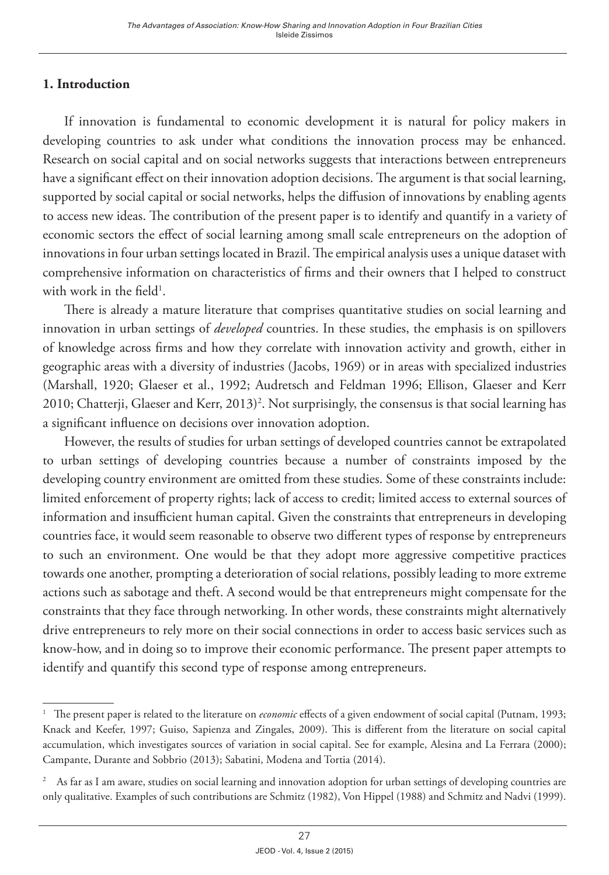## **1. Introduction**

If innovation is fundamental to economic development it is natural for policy makers in developing countries to ask under what conditions the innovation process may be enhanced. Research on social capital and on social networks suggests that interactions between entrepreneurs have a significant effect on their innovation adoption decisions. The argument is that social learning, supported by social capital or social networks, helps the diffusion of innovations by enabling agents to access new ideas. The contribution of the present paper is to identify and quantify in a variety of economic sectors the effect of social learning among small scale entrepreneurs on the adoption of innovations in four urban settings located in Brazil. The empirical analysis uses a unique dataset with comprehensive information on characteristics of firms and their owners that I helped to construct with work in the field<sup>1</sup>.

There is already a mature literature that comprises quantitative studies on social learning and innovation in urban settings of *developed* countries. In these studies, the emphasis is on spillovers of knowledge across firms and how they correlate with innovation activity and growth, either in geographic areas with a diversity of industries (Jacobs, 1969) or in areas with specialized industries (Marshall, 1920; Glaeser et al., 1992; Audretsch and Feldman 1996; Ellison, Glaeser and Kerr 2010; Chatterji, Glaeser and Kerr, 2013)<sup>2</sup>. Not surprisingly, the consensus is that social learning has a significant influence on decisions over innovation adoption.

However, the results of studies for urban settings of developed countries cannot be extrapolated to urban settings of developing countries because a number of constraints imposed by the developing country environment are omitted from these studies. Some of these constraints include: limited enforcement of property rights; lack of access to credit; limited access to external sources of information and insufficient human capital. Given the constraints that entrepreneurs in developing countries face, it would seem reasonable to observe two different types of response by entrepreneurs to such an environment. One would be that they adopt more aggressive competitive practices towards one another, prompting a deterioration of social relations, possibly leading to more extreme actions such as sabotage and theft. A second would be that entrepreneurs might compensate for the constraints that they face through networking. In other words, these constraints might alternatively drive entrepreneurs to rely more on their social connections in order to access basic services such as know-how, and in doing so to improve their economic performance. The present paper attempts to identify and quantify this second type of response among entrepreneurs.

<sup>&</sup>lt;sup>1</sup> The present paper is related to the literature on *economic* effects of a given endowment of social capital (Putnam, 1993; Knack and Keefer, 1997; Guiso, Sapienza and Zingales, 2009). This is different from the literature on social capital accumulation, which investigates sources of variation in social capital. See for example, Alesina and La Ferrara (2000); Campante, Durante and Sobbrio (2013); Sabatini, Modena and Tortia (2014).

<sup>2</sup> As far as I am aware, studies on social learning and innovation adoption for urban settings of developing countries are only qualitative. Examples of such contributions are Schmitz (1982), Von Hippel (1988) and Schmitz and Nadvi (1999).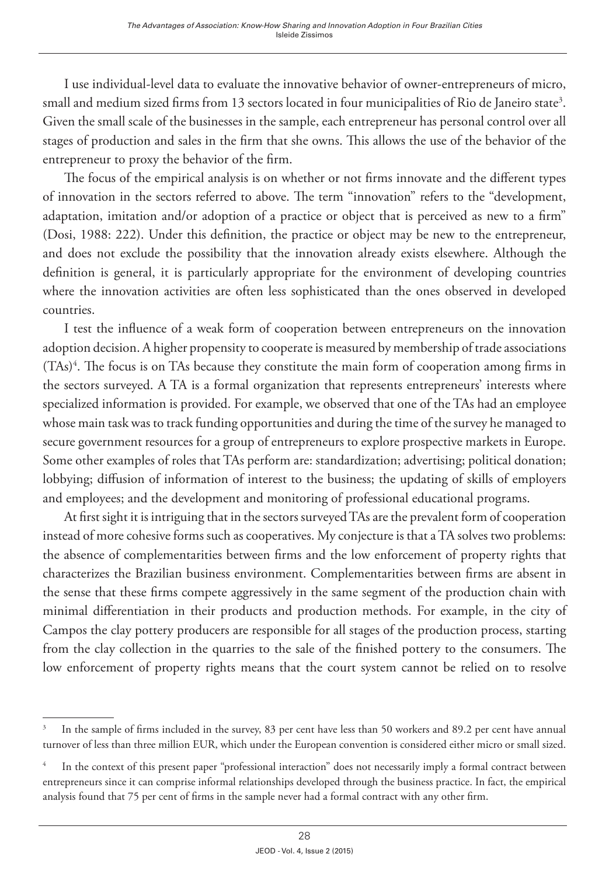I use individual-level data to evaluate the innovative behavior of owner-entrepreneurs of micro, small and medium sized firms from 13 sectors located in four municipalities of Rio de Janeiro state $^3$ . Given the small scale of the businesses in the sample, each entrepreneur has personal control over all stages of production and sales in the firm that she owns. This allows the use of the behavior of the entrepreneur to proxy the behavior of the firm.

The focus of the empirical analysis is on whether or not firms innovate and the different types of innovation in the sectors referred to above. The term "innovation" refers to the "development, adaptation, imitation and/or adoption of a practice or object that is perceived as new to a firm" (Dosi, 1988: 222). Under this definition, the practice or object may be new to the entrepreneur, and does not exclude the possibility that the innovation already exists elsewhere. Although the definition is general, it is particularly appropriate for the environment of developing countries where the innovation activities are often less sophisticated than the ones observed in developed countries.

I test the influence of a weak form of cooperation between entrepreneurs on the innovation adoption decision. A higher propensity to cooperate is measured by membership of trade associations (TAs)<sup>4</sup>. The focus is on TAs because they constitute the main form of cooperation among firms in the sectors surveyed. A TA is a formal organization that represents entrepreneurs' interests where specialized information is provided. For example, we observed that one of the TAs had an employee whose main task was to track funding opportunities and during the time of the survey he managed to secure government resources for a group of entrepreneurs to explore prospective markets in Europe. Some other examples of roles that TAs perform are: standardization; advertising; political donation; lobbying; diffusion of information of interest to the business; the updating of skills of employers and employees; and the development and monitoring of professional educational programs.

At first sight it is intriguing that in the sectors surveyed TAs are the prevalent form of cooperation instead of more cohesive forms such as cooperatives. My conjecture is that a TA solves two problems: the absence of complementarities between firms and the low enforcement of property rights that characterizes the Brazilian business environment. Complementarities between firms are absent in the sense that these firms compete aggressively in the same segment of the production chain with minimal differentiation in their products and production methods. For example, in the city of Campos the clay pottery producers are responsible for all stages of the production process, starting from the clay collection in the quarries to the sale of the finished pottery to the consumers. The low enforcement of property rights means that the court system cannot be relied on to resolve

<sup>3</sup> In the sample of firms included in the survey, 83 per cent have less than 50 workers and 89.2 per cent have annual turnover of less than three million EUR, which under the European convention is considered either micro or small sized.

<sup>4</sup> In the context of this present paper "professional interaction" does not necessarily imply a formal contract between entrepreneurs since it can comprise informal relationships developed through the business practice. In fact, the empirical analysis found that 75 per cent of firms in the sample never had a formal contract with any other firm.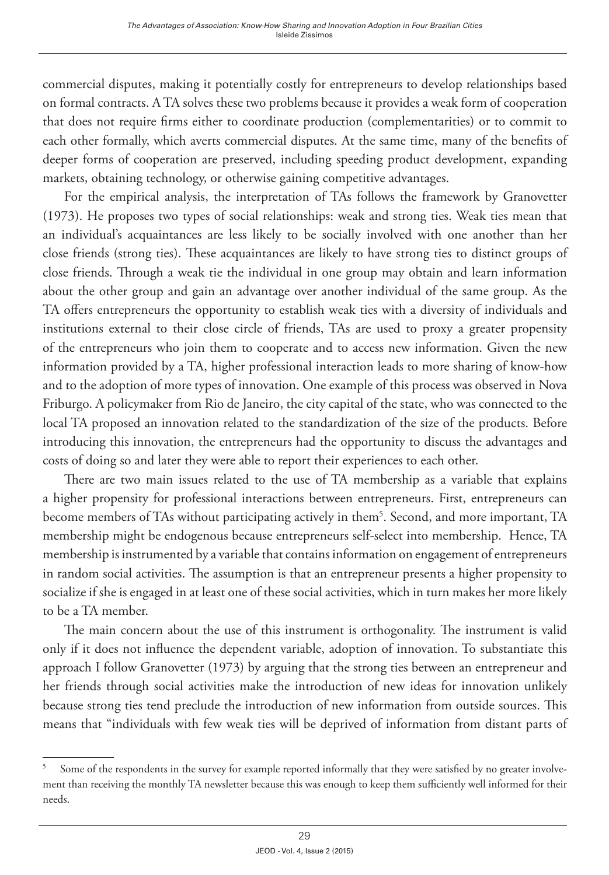commercial disputes, making it potentially costly for entrepreneurs to develop relationships based on formal contracts. A TA solves these two problems because it provides a weak form of cooperation that does not require firms either to coordinate production (complementarities) or to commit to each other formally, which averts commercial disputes. At the same time, many of the benefits of deeper forms of cooperation are preserved, including speeding product development, expanding markets, obtaining technology, or otherwise gaining competitive advantages.

For the empirical analysis, the interpretation of TAs follows the framework by Granovetter (1973). He proposes two types of social relationships: weak and strong ties. Weak ties mean that an individual's acquaintances are less likely to be socially involved with one another than her close friends (strong ties). These acquaintances are likely to have strong ties to distinct groups of close friends. Through a weak tie the individual in one group may obtain and learn information about the other group and gain an advantage over another individual of the same group. As the TA offers entrepreneurs the opportunity to establish weak ties with a diversity of individuals and institutions external to their close circle of friends, TAs are used to proxy a greater propensity of the entrepreneurs who join them to cooperate and to access new information. Given the new information provided by a TA, higher professional interaction leads to more sharing of know-how and to the adoption of more types of innovation. One example of this process was observed in Nova Friburgo. A policymaker from Rio de Janeiro, the city capital of the state, who was connected to the local TA proposed an innovation related to the standardization of the size of the products. Before introducing this innovation, the entrepreneurs had the opportunity to discuss the advantages and costs of doing so and later they were able to report their experiences to each other.

There are two main issues related to the use of TA membership as a variable that explains a higher propensity for professional interactions between entrepreneurs. First, entrepreneurs can become members of TAs without participating actively in them<sup>5</sup>. Second, and more important, TA membership might be endogenous because entrepreneurs self-select into membership. Hence, TA membership is instrumented by a variable that contains information on engagement of entrepreneurs in random social activities. The assumption is that an entrepreneur presents a higher propensity to socialize if she is engaged in at least one of these social activities, which in turn makes her more likely to be a TA member.

The main concern about the use of this instrument is orthogonality. The instrument is valid only if it does not influence the dependent variable, adoption of innovation. To substantiate this approach I follow Granovetter (1973) by arguing that the strong ties between an entrepreneur and her friends through social activities make the introduction of new ideas for innovation unlikely because strong ties tend preclude the introduction of new information from outside sources. This means that "individuals with few weak ties will be deprived of information from distant parts of

<sup>5</sup> Some of the respondents in the survey for example reported informally that they were satisfied by no greater involvement than receiving the monthly TA newsletter because this was enough to keep them sufficiently well informed for their needs.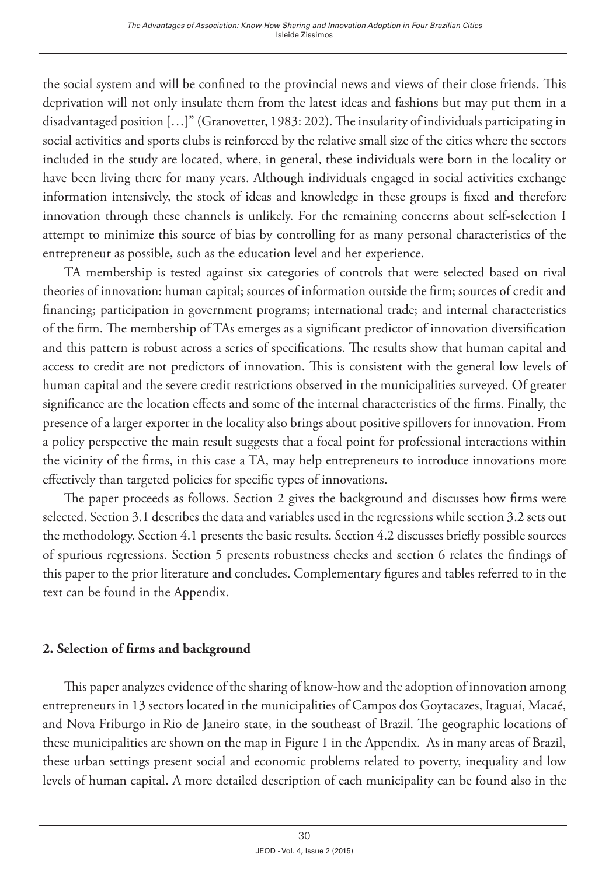the social system and will be confined to the provincial news and views of their close friends. This deprivation will not only insulate them from the latest ideas and fashions but may put them in a disadvantaged position […]" (Granovetter, 1983: 202). The insularity of individuals participating in social activities and sports clubs is reinforced by the relative small size of the cities where the sectors included in the study are located, where, in general, these individuals were born in the locality or have been living there for many years. Although individuals engaged in social activities exchange information intensively, the stock of ideas and knowledge in these groups is fixed and therefore innovation through these channels is unlikely. For the remaining concerns about self-selection I attempt to minimize this source of bias by controlling for as many personal characteristics of the entrepreneur as possible, such as the education level and her experience.

TA membership is tested against six categories of controls that were selected based on rival theories of innovation: human capital; sources of information outside the firm; sources of credit and financing; participation in government programs; international trade; and internal characteristics of the firm. The membership of TAs emerges as a significant predictor of innovation diversification and this pattern is robust across a series of specifications. The results show that human capital and access to credit are not predictors of innovation. This is consistent with the general low levels of human capital and the severe credit restrictions observed in the municipalities surveyed. Of greater significance are the location effects and some of the internal characteristics of the firms. Finally, the presence of a larger exporter in the locality also brings about positive spillovers for innovation. From a policy perspective the main result suggests that a focal point for professional interactions within the vicinity of the firms, in this case a TA, may help entrepreneurs to introduce innovations more effectively than targeted policies for specific types of innovations.

The paper proceeds as follows. Section 2 gives the background and discusses how firms were selected. Section 3.1 describes the data and variables used in the regressions while section 3.2 sets out the methodology. Section 4.1 presents the basic results. Section 4.2 discusses briefly possible sources of spurious regressions. Section 5 presents robustness checks and section 6 relates the findings of this paper to the prior literature and concludes. Complementary figures and tables referred to in the text can be found in the Appendix.

# **2. Selection of firms and background**

This paper analyzes evidence of the sharing of know-how and the adoption of innovation among entrepreneurs in 13 sectors located in the municipalities of Campos dos Goytacazes, Itaguaí, Macaé, and Nova Friburgo in Rio de Janeiro state, in the southeast of Brazil. The geographic locations of these municipalities are shown on the map in Figure 1 in the Appendix. As in many areas of Brazil, these urban settings present social and economic problems related to poverty, inequality and low levels of human capital. A more detailed description of each municipality can be found also in the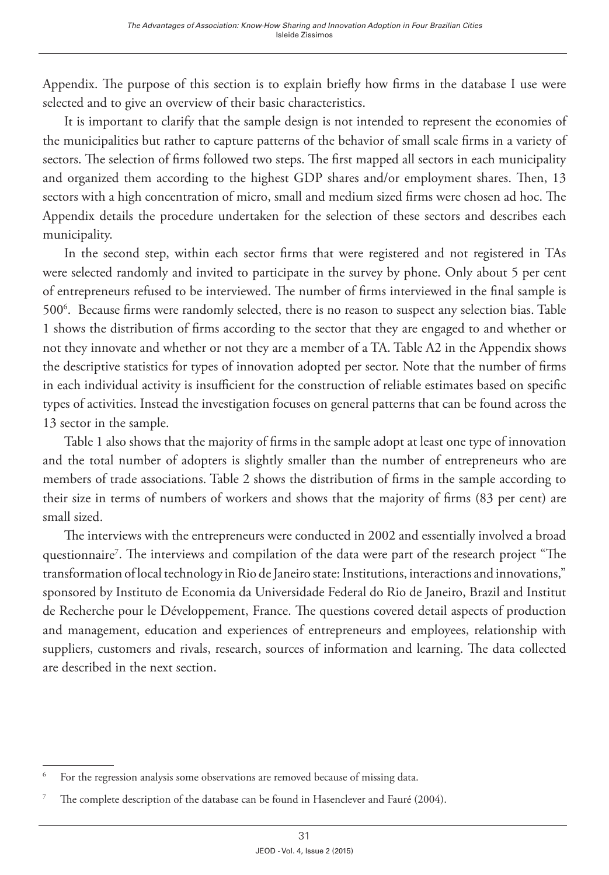Appendix. The purpose of this section is to explain briefly how firms in the database I use were selected and to give an overview of their basic characteristics.

It is important to clarify that the sample design is not intended to represent the economies of the municipalities but rather to capture patterns of the behavior of small scale firms in a variety of sectors. The selection of firms followed two steps. The first mapped all sectors in each municipality and organized them according to the highest GDP shares and/or employment shares. Then, 13 sectors with a high concentration of micro, small and medium sized firms were chosen ad hoc. The Appendix details the procedure undertaken for the selection of these sectors and describes each municipality.

In the second step, within each sector firms that were registered and not registered in TAs were selected randomly and invited to participate in the survey by phone. Only about 5 per cent of entrepreneurs refused to be interviewed. The number of firms interviewed in the final sample is 5006 . Because firms were randomly selected, there is no reason to suspect any selection bias. Table 1 shows the distribution of firms according to the sector that they are engaged to and whether or not they innovate and whether or not they are a member of a TA. Table A2 in the Appendix shows the descriptive statistics for types of innovation adopted per sector. Note that the number of firms in each individual activity is insufficient for the construction of reliable estimates based on specific types of activities. Instead the investigation focuses on general patterns that can be found across the 13 sector in the sample.

Table 1 also shows that the majority of firms in the sample adopt at least one type of innovation and the total number of adopters is slightly smaller than the number of entrepreneurs who are members of trade associations. Table 2 shows the distribution of firms in the sample according to their size in terms of numbers of workers and shows that the majority of firms (83 per cent) are small sized.

The interviews with the entrepreneurs were conducted in 2002 and essentially involved a broad questionnaire<sup>7</sup>. The interviews and compilation of the data were part of the research project "The transformation of local technology in Rio de Janeiro state: Institutions, interactions and innovations," sponsored by Instituto de Economia da Universidade Federal do Rio de Janeiro, Brazil and Institut de Recherche pour le Développement, France. The questions covered detail aspects of production and management, education and experiences of entrepreneurs and employees, relationship with suppliers, customers and rivals, research, sources of information and learning. The data collected are described in the next section.

<sup>6</sup> For the regression analysis some observations are removed because of missing data.

The complete description of the database can be found in Hasenclever and Fauré (2004).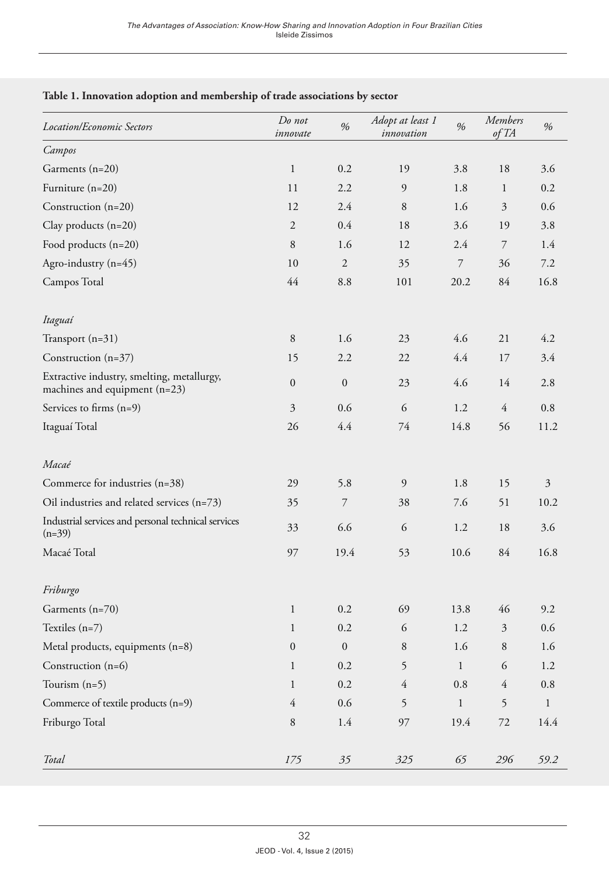| <b>Location/Economic Sectors</b>                                              | Do not<br>innovate | %                | Adopt at least 1<br>innovation | %              | <b>Members</b><br>of TA | %              |
|-------------------------------------------------------------------------------|--------------------|------------------|--------------------------------|----------------|-------------------------|----------------|
| Campos                                                                        |                    |                  |                                |                |                         |                |
| Garments (n=20)                                                               | $\mathbf{1}$       | 0.2              | 19                             | 3.8            | 18                      | 3.6            |
| Furniture (n=20)                                                              | 11                 | 2.2              | 9                              | 1.8            | $\mathbf{1}$            | 0.2            |
| Construction $(n=20)$                                                         | 12                 | 2.4              | 8                              | 1.6            | 3                       | 0.6            |
| Clay products $(n=20)$                                                        | $\overline{2}$     | 0.4              | 18                             | 3.6            | 19                      | 3.8            |
| Food products (n=20)                                                          | 8                  | 1.6              | 12                             | 2.4            | 7                       | 1.4            |
| Agro-industry (n=45)                                                          | 10                 | $\mathfrak{2}$   | 35                             | $\overline{7}$ | 36                      | 7.2            |
| Campos Total                                                                  | 44                 | 8.8              | 101                            | 20.2           | 84                      | 16.8           |
| Itaguaí                                                                       |                    |                  |                                |                |                         |                |
| Transport (n=31)                                                              | 8                  | 1.6              | 23                             | 4.6            | 21                      | 4.2            |
| Construction (n=37)                                                           | 15                 | 2.2              | 22                             | 4.4            | 17                      | 3.4            |
| Extractive industry, smelting, metallurgy,<br>machines and equipment $(n=23)$ | $\mathbf{0}$       | $\mathbf{0}$     | 23                             | 4.6            | 14                      | 2.8            |
| Services to firms (n=9)                                                       | $\mathfrak{Z}$     | 0.6              | 6                              | 1.2            | $\overline{4}$          | 0.8            |
| Itaguaí Total                                                                 | 26                 | 4.4              | 74                             | 14.8           | 56                      | 11.2           |
| Macaé                                                                         |                    |                  |                                |                |                         |                |
| Commerce for industries (n=38)                                                | 29                 | 5.8              | 9                              | 1.8            | 15                      | $\mathfrak{Z}$ |
| Oil industries and related services (n=73)                                    | 35                 | $\overline{7}$   | 38                             | 7.6            | 51                      | 10.2           |
| Industrial services and personal technical services<br>$(n=39)$               | 33                 | 6.6              | 6                              | 1.2            | 18                      | 3.6            |
| Macaé Total                                                                   | 97                 | 19.4             | 53                             | 10.6           | 84                      | 16.8           |
| Friburgo                                                                      |                    |                  |                                |                |                         |                |
| Garments (n=70)                                                               | $\mathbf{1}$       | 0.2              | 69                             | 13.8           | 46                      | 9.2            |
| Textiles $(n=7)$                                                              | $\mathbf{1}$       | 0.2              | 6                              | 1.2            | 3                       | 0.6            |
| Metal products, equipments (n=8)                                              | $\mathbf{0}$       | $\boldsymbol{0}$ | 8                              | 1.6            | 8                       | 1.6            |
| Construction (n=6)                                                            | $\mathbf{1}$       | 0.2              | 5                              | $\mathbf{1}$   | 6                       | 1.2            |
| Tourism $(n=5)$                                                               | $\mathbf{1}$       | $0.2\,$          | $\overline{4}$                 | $0.8\,$        | $\overline{4}$          | $\rm 0.8$      |
| Commerce of textile products (n=9)                                            | $\overline{4}$     | 0.6              | 5                              | $\mathbf{1}$   | 5                       | $\mathbf{1}$   |
| Friburgo Total                                                                | $\,8\,$            | 1.4              | 97                             | 19.4           | $72\,$                  | 14.4           |
| Total                                                                         | $175\,$            | 35               | 325                            | 65             | 296                     | 59.2           |

## **Table 1. Innovation adoption and membership of trade associations by sector**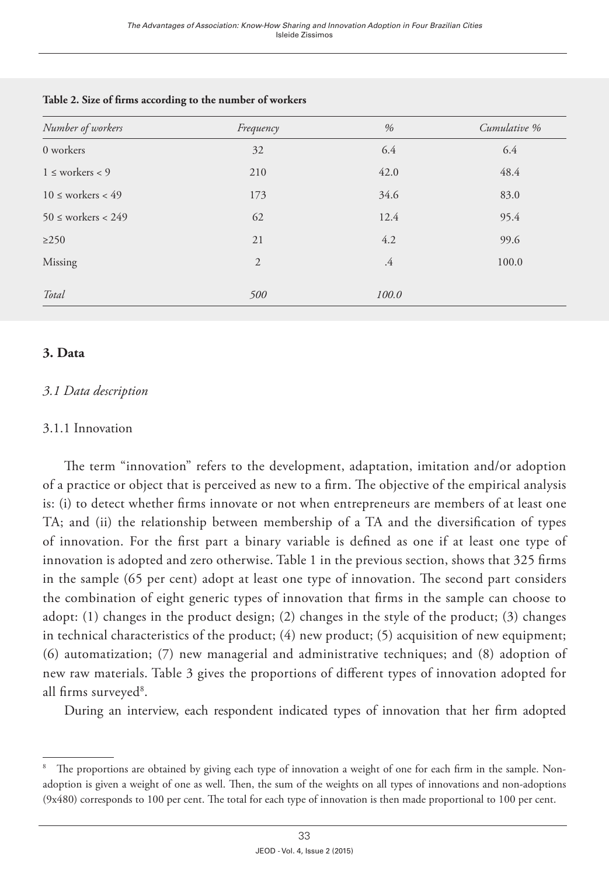| Number of workers       | Frequency | %      | Cumulative % |
|-------------------------|-----------|--------|--------------|
| 0 workers               | 32        | 6.4    | 6.4          |
| $1 \leq$ workers < 9    | 210       | 42.0   | 48.4         |
| $10 \leq$ workers < 49  | 173       | 34.6   | 83.0         |
| $50 \leq$ workers < 249 | 62        | 12.4   | 95.4         |
| $\geq$ 250              | 21        | 4.2    | 99.6         |
| Missing                 | 2         | $.4\,$ | 100.0        |
| Total                   | 500       | 100.0  |              |

#### **Table 2. Size of firms according to the number of workers**

## **3. Data**

## *3.1 Data description*

## 3.1.1 Innovation

The term "innovation" refers to the development, adaptation, imitation and/or adoption of a practice or object that is perceived as new to a firm. The objective of the empirical analysis is: (i) to detect whether firms innovate or not when entrepreneurs are members of at least one TA; and (ii) the relationship between membership of a TA and the diversification of types of innovation. For the first part a binary variable is defined as one if at least one type of innovation is adopted and zero otherwise. Table 1 in the previous section, shows that 325 firms in the sample (65 per cent) adopt at least one type of innovation. The second part considers the combination of eight generic types of innovation that firms in the sample can choose to adopt: (1) changes in the product design; (2) changes in the style of the product; (3) changes in technical characteristics of the product;  $(4)$  new product;  $(5)$  acquisition of new equipment; (6) automatization; (7) new managerial and administrative techniques; and (8) adoption of new raw materials. Table 3 gives the proportions of different types of innovation adopted for all firms surveyed<sup>8</sup>.

During an interview, each respondent indicated types of innovation that her firm adopted

<sup>8</sup> The proportions are obtained by giving each type of innovation a weight of one for each firm in the sample. Nonadoption is given a weight of one as well. Then, the sum of the weights on all types of innovations and non-adoptions (9x480) corresponds to 100 per cent. The total for each type of innovation is then made proportional to 100 per cent.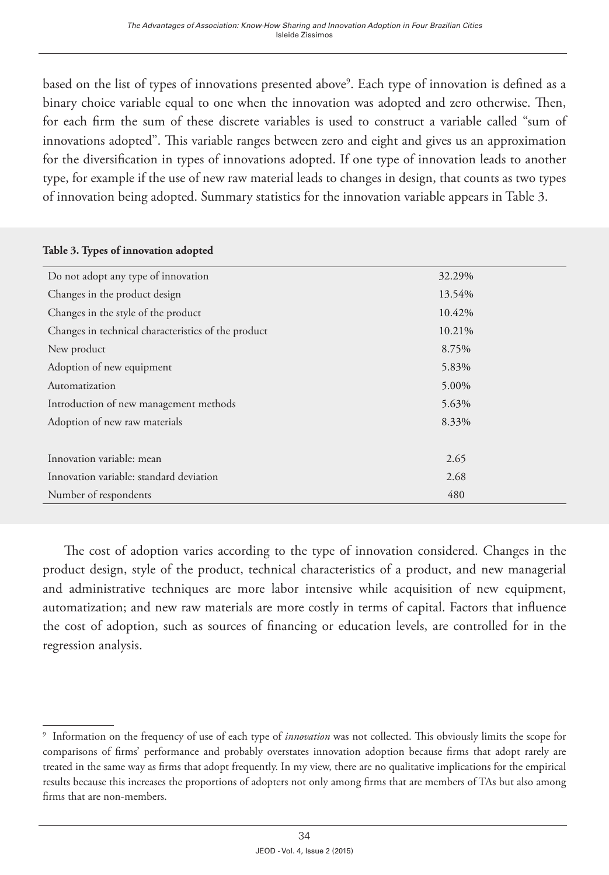based on the list of types of innovations presented above<sup>9</sup>. Each type of innovation is defined as a binary choice variable equal to one when the innovation was adopted and zero otherwise. Then, for each firm the sum of these discrete variables is used to construct a variable called "sum of innovations adopted". This variable ranges between zero and eight and gives us an approximation for the diversification in types of innovations adopted. If one type of innovation leads to another type, for example if the use of new raw material leads to changes in design, that counts as two types of innovation being adopted. Summary statistics for the innovation variable appears in Table 3.

#### **Table 3. Types of innovation adopted**

| Do not adopt any type of innovation                 | 32.29% |
|-----------------------------------------------------|--------|
| Changes in the product design                       | 13.54% |
| Changes in the style of the product                 | 10.42% |
| Changes in technical characteristics of the product | 10.21% |
| New product                                         | 8.75%  |
| Adoption of new equipment                           | 5.83%  |
| Automatization                                      | 5.00%  |
| Introduction of new management methods              | 5.63%  |
| Adoption of new raw materials                       | 8.33%  |
|                                                     |        |
| Innovation variable: mean                           | 2.65   |
| Innovation variable: standard deviation             | 2.68   |
| Number of respondents                               | 480    |
|                                                     |        |

The cost of adoption varies according to the type of innovation considered. Changes in the product design, style of the product, technical characteristics of a product, and new managerial and administrative techniques are more labor intensive while acquisition of new equipment, automatization; and new raw materials are more costly in terms of capital. Factors that influence the cost of adoption, such as sources of financing or education levels, are controlled for in the regression analysis.

<sup>9</sup> Information on the frequency of use of each type of *innovation* was not collected. This obviously limits the scope for comparisons of firms' performance and probably overstates innovation adoption because firms that adopt rarely are treated in the same way as firms that adopt frequently. In my view, there are no qualitative implications for the empirical results because this increases the proportions of adopters not only among firms that are members of TAs but also among firms that are non-members.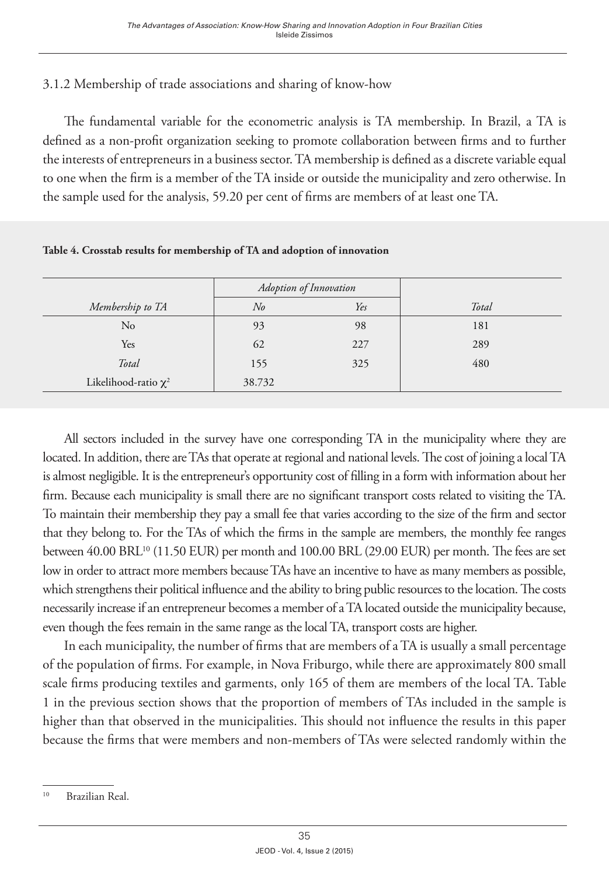# 3.1.2 Membership of trade associations and sharing of know-how

The fundamental variable for the econometric analysis is TA membership. In Brazil, a TA is defined as a non-profit organization seeking to promote collaboration between firms and to further the interests of entrepreneurs in a business sector. TA membership is defined as a discrete variable equal to one when the firm is a member of the TA inside or outside the municipality and zero otherwise. In the sample used for the analysis, 59.20 per cent of firms are members of at least one TA.

|                           | Adoption of Innovation |     |       |
|---------------------------|------------------------|-----|-------|
| Membership to TA          | $N_{0}$                | Yes | Total |
| No                        | 93                     | 98  | 181   |
| Yes                       | 62                     | 227 | 289   |
| Total                     | 155                    | 325 | 480   |
| Likelihood-ratio $\chi^2$ | 38.732                 |     |       |

**Table 4. Crosstab results for membership of TA and adoption of innovation**

All sectors included in the survey have one corresponding TA in the municipality where they are located. In addition, there are TAs that operate at regional and national levels. The cost of joining a local TA is almost negligible. It is the entrepreneur's opportunity cost of filling in a form with information about her firm. Because each municipality is small there are no significant transport costs related to visiting the TA. To maintain their membership they pay a small fee that varies according to the size of the firm and sector that they belong to. For the TAs of which the firms in the sample are members, the monthly fee ranges between 40.00 BRL<sup>10</sup> (11.50 EUR) per month and 100.00 BRL (29.00 EUR) per month. The fees are set low in order to attract more members because TAs have an incentive to have as many members as possible, which strengthens their political influence and the ability to bring public resources to the location. The costs necessarily increase if an entrepreneur becomes a member of a TA located outside the municipality because, even though the fees remain in the same range as the local TA, transport costs are higher.

In each municipality, the number of firms that are members of a TA is usually a small percentage of the population of firms. For example, in Nova Friburgo, while there are approximately 800 small scale firms producing textiles and garments, only 165 of them are members of the local TA. Table 1 in the previous section shows that the proportion of members of TAs included in the sample is higher than that observed in the municipalities. This should not influence the results in this paper because the firms that were members and non-members of TAs were selected randomly within the

<sup>10</sup> Brazilian Real.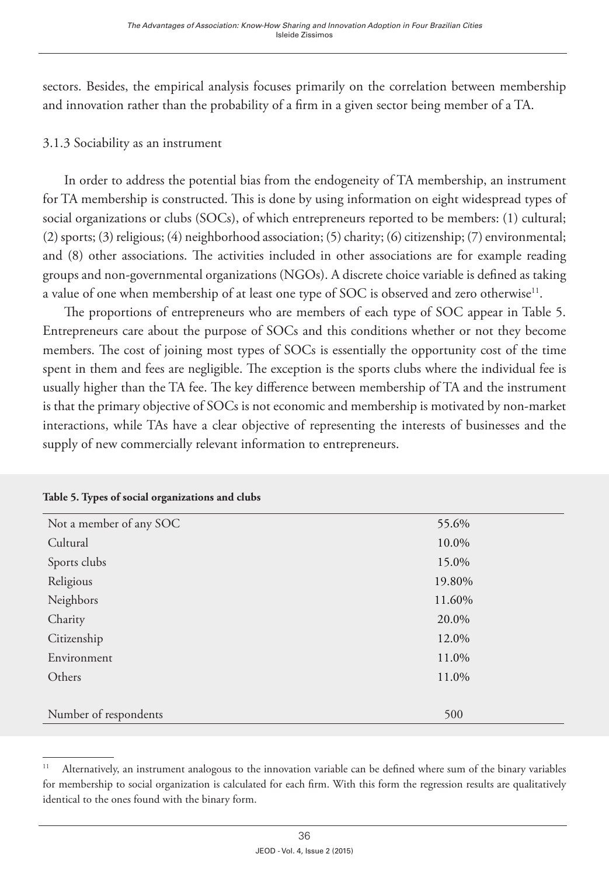sectors. Besides, the empirical analysis focuses primarily on the correlation between membership and innovation rather than the probability of a firm in a given sector being member of a TA.

## 3.1.3 Sociability as an instrument

In order to address the potential bias from the endogeneity of TA membership, an instrument for TA membership is constructed. This is done by using information on eight widespread types of social organizations or clubs (SOCs), of which entrepreneurs reported to be members: (1) cultural; (2) sports; (3) religious; (4) neighborhood association; (5) charity; (6) citizenship; (7) environmental; and (8) other associations. The activities included in other associations are for example reading groups and non-governmental organizations (NGOs). A discrete choice variable is defined as taking a value of one when membership of at least one type of SOC is observed and zero otherwise<sup>11</sup>.

The proportions of entrepreneurs who are members of each type of SOC appear in Table 5. Entrepreneurs care about the purpose of SOCs and this conditions whether or not they become members. The cost of joining most types of SOCs is essentially the opportunity cost of the time spent in them and fees are negligible. The exception is the sports clubs where the individual fee is usually higher than the TA fee. The key difference between membership of TA and the instrument is that the primary objective of SOCs is not economic and membership is motivated by non-market interactions, while TAs have a clear objective of representing the interests of businesses and the supply of new commercially relevant information to entrepreneurs.

| Not a member of any SOC | 55.6%  |
|-------------------------|--------|
| Cultural                | 10.0%  |
| Sports clubs            | 15.0%  |
| Religious               | 19.80% |
| Neighbors               | 11.60% |
| Charity                 | 20.0%  |
| Citizenship             | 12.0%  |
| Environment             | 11.0%  |
| Others                  | 11.0%  |
|                         |        |
| Number of respondents   | 500    |

## **Table 5. Types of social organizations and clubs**

<sup>11</sup> Alternatively, an instrument analogous to the innovation variable can be defined where sum of the binary variables for membership to social organization is calculated for each firm. With this form the regression results are qualitatively identical to the ones found with the binary form.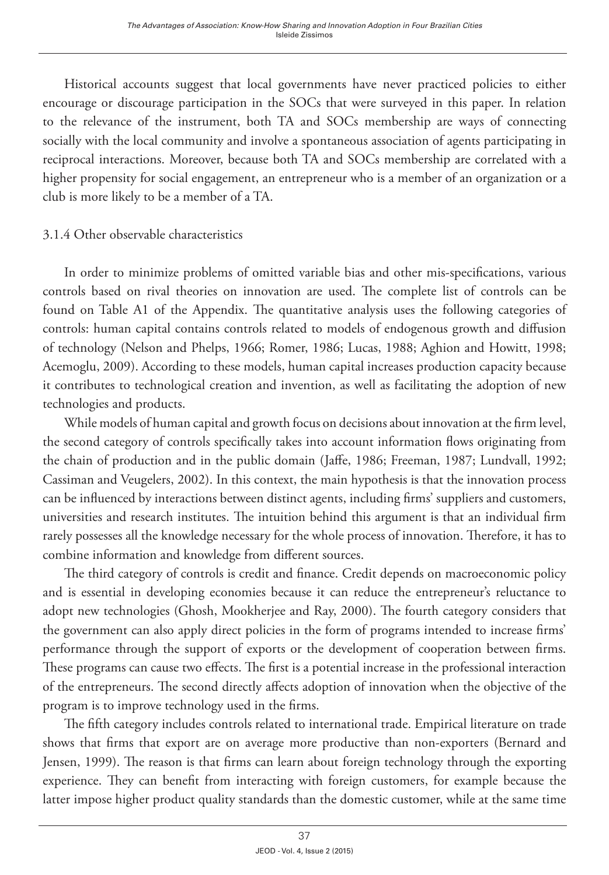Historical accounts suggest that local governments have never practiced policies to either encourage or discourage participation in the SOCs that were surveyed in this paper. In relation to the relevance of the instrument, both TA and SOCs membership are ways of connecting socially with the local community and involve a spontaneous association of agents participating in reciprocal interactions. Moreover, because both TA and SOCs membership are correlated with a higher propensity for social engagement, an entrepreneur who is a member of an organization or a club is more likely to be a member of a TA.

## 3.1.4 Other observable characteristics

In order to minimize problems of omitted variable bias and other mis-specifications, various controls based on rival theories on innovation are used. The complete list of controls can be found on Table A1 of the Appendix. The quantitative analysis uses the following categories of controls: human capital contains controls related to models of endogenous growth and diffusion of technology (Nelson and Phelps, 1966; Romer, 1986; Lucas, 1988; Aghion and Howitt, 1998; Acemoglu, 2009). According to these models, human capital increases production capacity because it contributes to technological creation and invention, as well as facilitating the adoption of new technologies and products.

While models of human capital and growth focus on decisions about innovation at the firm level, the second category of controls specifically takes into account information flows originating from the chain of production and in the public domain (Jaffe, 1986; Freeman, 1987; Lundvall, 1992; Cassiman and Veugelers, 2002). In this context, the main hypothesis is that the innovation process can be influenced by interactions between distinct agents, including firms' suppliers and customers, universities and research institutes. The intuition behind this argument is that an individual firm rarely possesses all the knowledge necessary for the whole process of innovation. Therefore, it has to combine information and knowledge from different sources.

The third category of controls is credit and finance. Credit depends on macroeconomic policy and is essential in developing economies because it can reduce the entrepreneur's reluctance to adopt new technologies (Ghosh, Mookherjee and Ray, 2000). The fourth category considers that the government can also apply direct policies in the form of programs intended to increase firms' performance through the support of exports or the development of cooperation between firms. These programs can cause two effects. The first is a potential increase in the professional interaction of the entrepreneurs. The second directly affects adoption of innovation when the objective of the program is to improve technology used in the firms.

The fifth category includes controls related to international trade. Empirical literature on trade shows that firms that export are on average more productive than non-exporters (Bernard and Jensen, 1999). The reason is that firms can learn about foreign technology through the exporting experience. They can benefit from interacting with foreign customers, for example because the latter impose higher product quality standards than the domestic customer, while at the same time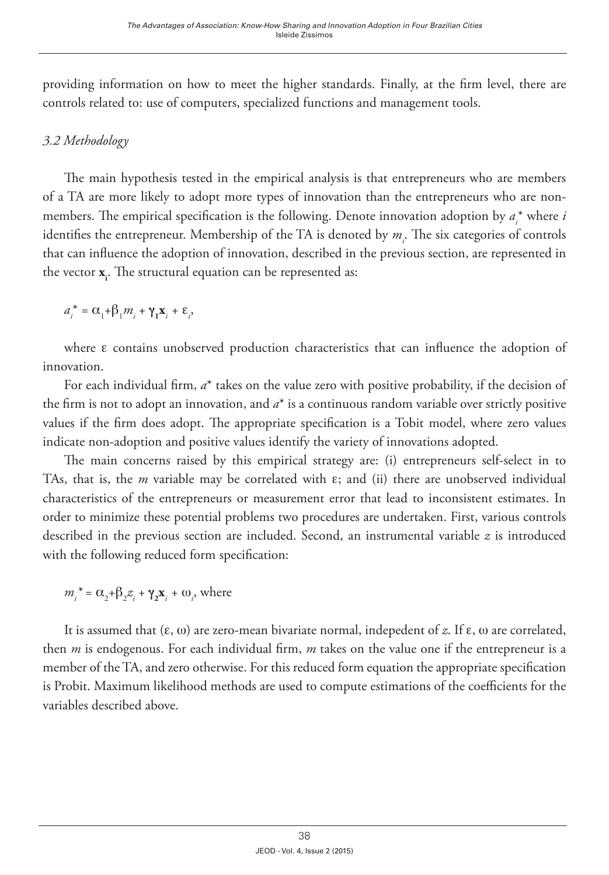providing information on how to meet the higher standards. Finally, at the firm level, there are controls related to: use of computers, specialized functions and management tools.

# *3.2 Methodology*

The main hypothesis tested in the empirical analysis is that entrepreneurs who are members of a TA are more likely to adopt more types of innovation than the entrepreneurs who are nonmembers. The empirical specification is the following. Denote innovation adoption by  $a_i^*$  where  $i$ identifies the entrepreneur. Membership of the TA is denoted by  $m_i$ . The six categories of controls that can influence the adoption of innovation, described in the previous section, are represented in the vector **x**<sub>i</sub>. The structural equation can be represented as:

$$
a_i^* = \alpha_1 + \beta_1 m_i + \gamma_1 \mathbf{x}_i + \varepsilon_i,
$$

where e contains unobserved production characteristics that can influence the adoption of innovation.

For each individual firm, *a*\* takes on the value zero with positive probability, if the decision of the firm is not to adopt an innovation, and *a*\* is a continuous random variable over strictly positive values if the firm does adopt. The appropriate specification is a Tobit model, where zero values indicate non-adoption and positive values identify the variety of innovations adopted.

The main concerns raised by this empirical strategy are: (i) entrepreneurs self-select in to TAs, that is, the *m* variable may be correlated with  $\varepsilon$ ; and (ii) there are unobserved individual characteristics of the entrepreneurs or measurement error that lead to inconsistent estimates. In order to minimize these potential problems two procedures are undertaken. First, various controls described in the previous section are included. Second, an instrumental variable *z* is introduced with the following reduced form specification:

 $m_i^* = \alpha_2 + \beta_2 z_i + \gamma_2 \mathbf{x}_i + \omega_i$ , where

It is assumed that  $(\epsilon, \omega)$  are zero-mean bivariate normal, indepedent of z. If  $\epsilon$ ,  $\omega$  are correlated, then *m* is endogenous. For each individual firm, *m* takes on the value one if the entrepreneur is a member of the TA, and zero otherwise. For this reduced form equation the appropriate specification is Probit. Maximum likelihood methods are used to compute estimations of the coefficients for the variables described above.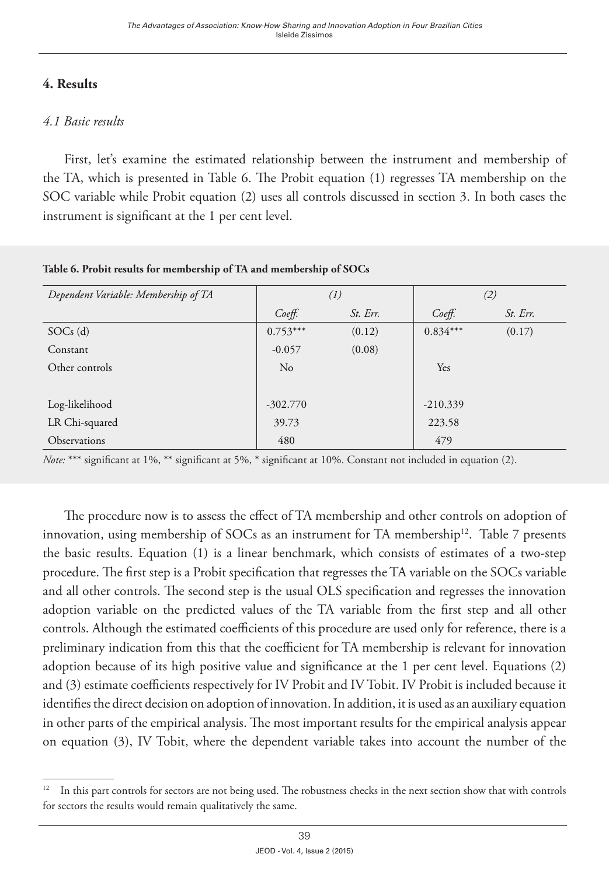# **4. Results**

## *4.1 Basic results*

First, let's examine the estimated relationship between the instrument and membership of the TA, which is presented in Table 6. The Probit equation (1) regresses TA membership on the SOC variable while Probit equation (2) uses all controls discussed in section 3. In both cases the instrument is significant at the 1 per cent level.

| Dependent Variable: Membership of TA |            | (1)      | (2)        |          |  |
|--------------------------------------|------------|----------|------------|----------|--|
|                                      | $Co$ eff.  | St. Err. | $Co$ eff.  | St. Err. |  |
| $SOCs$ (d)                           | $0.753***$ | (0.12)   | $0.834***$ | (0.17)   |  |
| Constant                             | $-0.057$   | (0.08)   |            |          |  |
| Other controls                       | $\rm No$   |          | Yes        |          |  |
|                                      |            |          |            |          |  |
| Log-likelihood                       | $-302.770$ |          | $-210.339$ |          |  |
| LR Chi-squared                       | 39.73      |          | 223.58     |          |  |
| <b>Observations</b>                  | 480        |          | 479        |          |  |

**Table 6. Probit results for membership of TA and membership of SOCs**

*Note:* \*\*\* significant at 1%, \*\* significant at 5%, \* significant at 10%. Constant not included in equation (2).

The procedure now is to assess the effect of TA membership and other controls on adoption of innovation, using membership of SOCs as an instrument for TA membership<sup>12</sup>. Table 7 presents the basic results. Equation (1) is a linear benchmark, which consists of estimates of a two-step procedure. The first step is a Probit specification that regresses the TA variable on the SOCs variable and all other controls. The second step is the usual OLS specification and regresses the innovation adoption variable on the predicted values of the TA variable from the first step and all other controls. Although the estimated coefficients of this procedure are used only for reference, there is a preliminary indication from this that the coefficient for TA membership is relevant for innovation adoption because of its high positive value and significance at the 1 per cent level. Equations (2) and (3) estimate coefficients respectively for IV Probit and IV Tobit. IV Probit is included because it identifies the direct decision on adoption of innovation. In addition, it is used as an auxiliary equation in other parts of the empirical analysis. The most important results for the empirical analysis appear on equation (3), IV Tobit, where the dependent variable takes into account the number of the

<sup>&</sup>lt;sup>12</sup> In this part controls for sectors are not being used. The robustness checks in the next section show that with controls for sectors the results would remain qualitatively the same.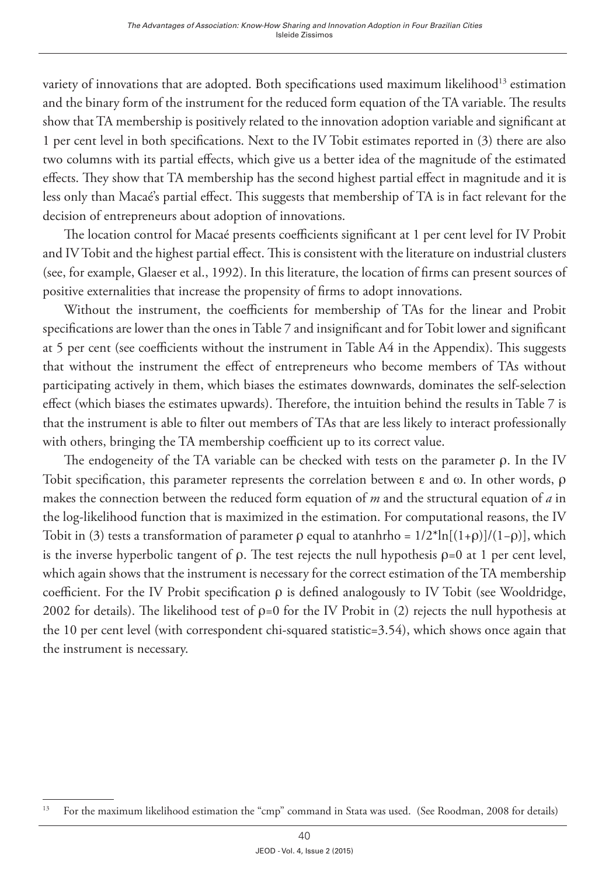variety of innovations that are adopted. Both specifications used maximum likelihood<sup>13</sup> estimation and the binary form of the instrument for the reduced form equation of the TA variable. The results show that TA membership is positively related to the innovation adoption variable and significant at 1 per cent level in both specifications. Next to the IV Tobit estimates reported in (3) there are also two columns with its partial effects, which give us a better idea of the magnitude of the estimated effects. They show that TA membership has the second highest partial effect in magnitude and it is less only than Macaé's partial effect. This suggests that membership of TA is in fact relevant for the decision of entrepreneurs about adoption of innovations.

The location control for Macaé presents coefficients significant at 1 per cent level for IV Probit and IV Tobit and the highest partial effect. This is consistent with the literature on industrial clusters (see, for example, Glaeser et al., 1992). In this literature, the location of firms can present sources of positive externalities that increase the propensity of firms to adopt innovations.

Without the instrument, the coefficients for membership of TAs for the linear and Probit specifications are lower than the ones in Table 7 and insignificant and for Tobit lower and significant at 5 per cent (see coefficients without the instrument in Table A4 in the Appendix). This suggests that without the instrument the effect of entrepreneurs who become members of TAs without participating actively in them, which biases the estimates downwards, dominates the self-selection effect (which biases the estimates upwards). Therefore, the intuition behind the results in Table 7 is that the instrument is able to filter out members of TAs that are less likely to interact professionally with others, bringing the TA membership coefficient up to its correct value.

The endogeneity of the TA variable can be checked with tests on the parameter  $\rho$ . In the IV Tobit specification, this parameter represents the correlation between  $\varepsilon$  and  $\omega$ . In other words,  $\rho$ makes the connection between the reduced form equation of *m* and the structural equation of *a* in the log-likelihood function that is maximized in the estimation. For computational reasons, the IV Tobit in (3) tests a transformation of parameter  $\rho$  equal to atanhrho =  $1/2^*$ ln $[(1+\rho)]/(1-\rho)$ , which is the inverse hyperbolic tangent of  $\rho$ . The test rejects the null hypothesis  $\rho=0$  at 1 per cent level, which again shows that the instrument is necessary for the correct estimation of the TA membership coefficient. For the IV Probit specification  $\rho$  is defined analogously to IV Tobit (see Wooldridge, 2002 for details). The likelihood test of  $\rho=0$  for the IV Probit in (2) rejects the null hypothesis at the 10 per cent level (with correspondent chi-squared statistic=3.54), which shows once again that the instrument is necessary.

<sup>&</sup>lt;sup>13</sup> For the maximum likelihood estimation the "cmp" command in Stata was used. (See Roodman, 2008 for details)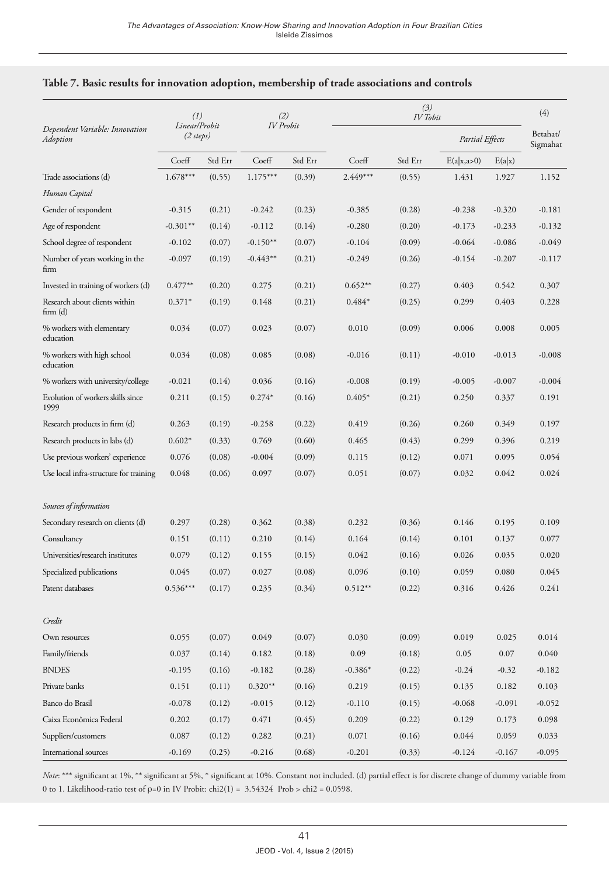|                                            | (1)<br>Linear/Probit |         |            | (3)<br>(2)<br><b>IV</b> Tobit<br><b>IV</b> Probit |           |         |                 | (4)      |                      |
|--------------------------------------------|----------------------|---------|------------|---------------------------------------------------|-----------|---------|-----------------|----------|----------------------|
| Dependent Variable: Innovation<br>Adoption | $(2 \text{ steps})$  |         |            |                                                   |           |         | Partial Effects |          | Betahat/<br>Sigmahat |
|                                            | Coeff                | Std Err | Coeff      | Std Err                                           | Coeff     | Std Err | E(a x, a>0)     | E(a x)   |                      |
| Trade associations (d)                     | $1.678***$           | (0.55)  | $1.175***$ | (0.39)                                            | 2.449***  | (0.55)  | 1.431           | 1.927    | 1.152                |
| Human Capital                              |                      |         |            |                                                   |           |         |                 |          |                      |
| Gender of respondent                       | $-0.315$             | (0.21)  | $-0.242$   | (0.23)                                            | $-0.385$  | (0.28)  | $-0.238$        | $-0.320$ | $-0.181$             |
| Age of respondent                          | $-0.301**$           | (0.14)  | $-0.112$   | (0.14)                                            | $-0.280$  | (0.20)  | $-0.173$        | $-0.233$ | $-0.132$             |
| School degree of respondent                | $-0.102$             | (0.07)  | $-0.150**$ | (0.07)                                            | $-0.104$  | (0.09)  | $-0.064$        | $-0.086$ | $-0.049$             |
| Number of years working in the<br>firm     | $-0.097$             | (0.19)  | $-0.443**$ | (0.21)                                            | $-0.249$  | (0.26)  | $-0.154$        | $-0.207$ | $-0.117$             |
| Invested in training of workers (d)        | $0.477**$            | (0.20)  | 0.275      | (0.21)                                            | $0.652**$ | (0.27)  | 0.403           | 0.542    | 0.307                |
| Research about clients within<br>firm(d)   | $0.371*$             | (0.19)  | 0.148      | (0.21)                                            | $0.484*$  | (0.25)  | 0.299           | 0.403    | 0.228                |
| % workers with elementary<br>education     | 0.034                | (0.07)  | 0.023      | (0.07)                                            | 0.010     | (0.09)  | 0.006           | 0.008    | 0.005                |
| % workers with high school<br>education    | 0.034                | (0.08)  | 0.085      | (0.08)                                            | $-0.016$  | (0.11)  | $-0.010$        | $-0.013$ | $-0.008$             |
| % workers with university/college          | $-0.021$             | (0.14)  | 0.036      | (0.16)                                            | $-0.008$  | (0.19)  | $-0.005$        | $-0.007$ | $-0.004$             |
| Evolution of workers skills since<br>1999  | 0.211                | (0.15)  | $0.274*$   | (0.16)                                            | $0.405*$  | (0.21)  | 0.250           | 0.337    | 0.191                |
| Research products in firm (d)              | 0.263                | (0.19)  | $-0.258$   | (0.22)                                            | 0.419     | (0.26)  | 0.260           | 0.349    | 0.197                |
| Research products in labs (d)              | $0.602*$             | (0.33)  | 0.769      | (0.60)                                            | 0.465     | (0.43)  | 0.299           | 0.396    | 0.219                |
| Use previous workers' experience           | 0.076                | (0.08)  | $-0.004$   | (0.09)                                            | 0.115     | (0.12)  | 0.071           | 0.095    | 0.054                |
| Use local infra-structure for training     | 0.048                | (0.06)  | 0.097      | (0.07)                                            | 0.051     | (0.07)  | 0.032           | 0.042    | 0.024                |
| Sources of information                     |                      |         |            |                                                   |           |         |                 |          |                      |
| Secondary research on clients (d)          | 0.297                | (0.28)  | 0.362      | (0.38)                                            | 0.232     | (0.36)  | 0.146           | 0.195    | 0.109                |
| Consultancy                                | 0.151                | (0.11)  | 0.210      | (0.14)                                            | 0.164     | (0.14)  | 0.101           | 0.137    | 0.077                |
| Universities/research institutes           | 0.079                | (0.12)  | 0.155      | (0.15)                                            | 0.042     | (0.16)  | 0.026           | 0.035    | 0.020                |
| Specialized publications                   | 0.045                | (0.07)  | 0.027      | (0.08)                                            | 0.096     | (0.10)  | 0.059           | 0.080    | 0.045                |
| Patent databases                           | $0.536***$           | (0.17)  | 0.235      | (0.34)                                            | $0.512**$ | (0.22)  | 0.316           | 0.426    | 0.241                |
| Credit                                     |                      |         |            |                                                   |           |         |                 |          |                      |
| Own resources                              | 0.055                | (0.07)  | 0.049      | (0.07)                                            | 0.030     | (0.09)  | 0.019           | 0.025    | 0.014                |
| Family/friends                             | 0.037                | (0.14)  | 0.182      | (0.18)                                            | 0.09      | (0.18)  | 0.05            | 0.07     | 0.040                |
| <b>BNDES</b>                               | $-0.195$             | (0.16)  | $-0.182$   | (0.28)                                            | $-0.386*$ | (0.22)  | $-0.24$         | $-0.32$  | $-0.182$             |
| Private banks                              | 0.151                | (0.11)  | $0.320**$  | (0.16)                                            | 0.219     | (0.15)  | 0.135           | 0.182    | 0.103                |
| Banco do Brasil                            | $-0.078$             | (0.12)  | $-0.015$   | (0.12)                                            | $-0.110$  | (0.15)  | $-0.068$        | $-0.091$ | $-0.052$             |
| Caixa Econômica Federal                    | 0.202                | (0.17)  | 0.471      | (0.45)                                            | 0.209     | (0.22)  | 0.129           | 0.173    | 0.098                |
| Suppliers/customers                        | 0.087                | (0.12)  | 0.282      | (0.21)                                            | 0.071     | (0.16)  | 0.044           | 0.059    | 0.033                |
| International sources                      | $-0.169$             | (0.25)  | $-0.216$   | (0.68)                                            | $-0.201$  | (0.33)  | $-0.124$        | $-0.167$ | $-0.095$             |

#### **Table 7. Basic results for innovation adoption, membership of trade associations and controls**

*Note*: \*\*\* significant at 1%, \*\* significant at 5%, \* significant at 10%. Constant not included. (d) partial effect is for discrete change of dummy variable from 0 to 1. Likelihood-ratio test of  $p=0$  in IV Probit: chi2(1) = 3.54324 Prob > chi2 = 0.0598.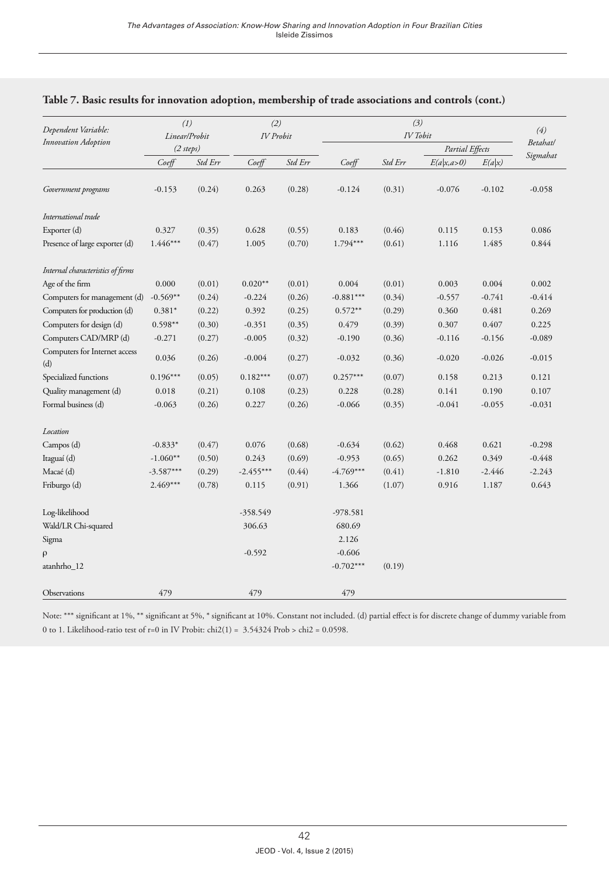| Dependent Variable:                                                                                                                                                                                                                                                                                                                                                                                                                                                                                                                                                                                                                                                                                                                                                                                                                                                                                                                                                                                                                                                                                                                                                                                                                                                                                                                                                                                                                                                                                                                                                                                                                                                                                                                                                                                                                                                              |             |        |             |        |             |        |          |          | (4)      |
|----------------------------------------------------------------------------------------------------------------------------------------------------------------------------------------------------------------------------------------------------------------------------------------------------------------------------------------------------------------------------------------------------------------------------------------------------------------------------------------------------------------------------------------------------------------------------------------------------------------------------------------------------------------------------------------------------------------------------------------------------------------------------------------------------------------------------------------------------------------------------------------------------------------------------------------------------------------------------------------------------------------------------------------------------------------------------------------------------------------------------------------------------------------------------------------------------------------------------------------------------------------------------------------------------------------------------------------------------------------------------------------------------------------------------------------------------------------------------------------------------------------------------------------------------------------------------------------------------------------------------------------------------------------------------------------------------------------------------------------------------------------------------------------------------------------------------------------------------------------------------------|-------------|--------|-------------|--------|-------------|--------|----------|----------|----------|
|                                                                                                                                                                                                                                                                                                                                                                                                                                                                                                                                                                                                                                                                                                                                                                                                                                                                                                                                                                                                                                                                                                                                                                                                                                                                                                                                                                                                                                                                                                                                                                                                                                                                                                                                                                                                                                                                                  |             |        |             |        |             |        |          |          | Betahat/ |
| (3)<br>(1)<br>(2)<br>IV Tobit<br><b>IV</b> Probit<br>Linear/Probit<br>Innovation Adoption<br>Partial Effects<br>(2 steps)<br>Coeff<br>Std Err<br>Coeff<br>Std Err<br>Coeff<br>Std Err<br>E(a x,a>0)<br>E(a x)<br>$-0.153$<br>(0.24)<br>0.263<br>(0.28)<br>$-0.124$<br>(0.31)<br>$-0.076$<br>$-0.102$<br>Government programs<br>International trade<br>Exporter (d)<br>0.628<br>(0.55)<br>0.183<br>(0.46)<br>0.115<br>0.153<br>0.327<br>(0.35)<br>$1.446***$<br>$1.794***$<br>Presence of large exporter (d)<br>(0.47)<br>1.005<br>(0.70)<br>(0.61)<br>1.116<br>1.485<br>Internal characteristics of firms<br>Age of the firm<br>0.000<br>$0.020**$<br>(0.01)<br>0.004<br>(0.01)<br>0.004<br>(0.01)<br>0.003<br>Computers for management (d)<br>$-0.569**$<br>(0.26)<br>$-0.881***$<br>(0.34)<br>$-0.741$<br>(0.24)<br>$-0.224$<br>$-0.557$<br>Computers for production (d)<br>0.392<br>$0.572**$<br>(0.29)<br>0.481<br>$0.381*$<br>(0.22)<br>(0.25)<br>0.360<br>Computers for design (d)<br>$0.598**$<br>0.407<br>(0.30)<br>$-0.351$<br>(0.35)<br>0.479<br>(0.39)<br>0.307<br>Computers CAD/MRP (d)<br>$-0.005$<br>$-0.271$<br>(0.27)<br>(0.32)<br>$-0.190$<br>(0.36)<br>$-0.116$<br>$-0.156$<br>Computers for Internet access<br>0.036<br>$-0.004$<br>$-0.020$<br>$-0.026$<br>(0.26)<br>(0.27)<br>$-0.032$<br>(0.36)<br>(d)<br>Specialized functions<br>$0.196***$<br>$0.182***$<br>(0.07)<br>$0.257***$<br>(0.07)<br>(0.05)<br>0.158<br>0.213<br>0.018<br>(0.21)<br>0.108<br>(0.23)<br>(0.28)<br>0.141<br>0.190<br>Quality management (d)<br>0.228<br>Formal business (d)<br>(0.26)<br>(0.26)<br>$-0.066$<br>(0.35)<br>$-0.041$<br>$-0.063$<br>0.227<br>$-0.055$<br>Location<br>(0.68)<br>(0.62)<br>0.468<br>0.621<br>Campos (d)<br>$-0.833*$<br>(0.47)<br>0.076<br>$-0.634$<br>$-1.060**$<br>0.262<br>Itaguaí (d)<br>(0.50)<br>0.243<br>(0.69)<br>$-0.953$<br>(0.65)<br>0.349 | Sigmahat    |        |             |        |             |        |          |          |          |
|                                                                                                                                                                                                                                                                                                                                                                                                                                                                                                                                                                                                                                                                                                                                                                                                                                                                                                                                                                                                                                                                                                                                                                                                                                                                                                                                                                                                                                                                                                                                                                                                                                                                                                                                                                                                                                                                                  |             |        |             |        |             |        |          |          | $-0.058$ |
|                                                                                                                                                                                                                                                                                                                                                                                                                                                                                                                                                                                                                                                                                                                                                                                                                                                                                                                                                                                                                                                                                                                                                                                                                                                                                                                                                                                                                                                                                                                                                                                                                                                                                                                                                                                                                                                                                  |             |        |             |        |             |        |          |          |          |
|                                                                                                                                                                                                                                                                                                                                                                                                                                                                                                                                                                                                                                                                                                                                                                                                                                                                                                                                                                                                                                                                                                                                                                                                                                                                                                                                                                                                                                                                                                                                                                                                                                                                                                                                                                                                                                                                                  |             |        |             |        |             |        |          |          | 0.086    |
|                                                                                                                                                                                                                                                                                                                                                                                                                                                                                                                                                                                                                                                                                                                                                                                                                                                                                                                                                                                                                                                                                                                                                                                                                                                                                                                                                                                                                                                                                                                                                                                                                                                                                                                                                                                                                                                                                  |             |        |             |        |             |        |          |          | 0.844    |
|                                                                                                                                                                                                                                                                                                                                                                                                                                                                                                                                                                                                                                                                                                                                                                                                                                                                                                                                                                                                                                                                                                                                                                                                                                                                                                                                                                                                                                                                                                                                                                                                                                                                                                                                                                                                                                                                                  |             |        |             |        |             |        |          |          |          |
|                                                                                                                                                                                                                                                                                                                                                                                                                                                                                                                                                                                                                                                                                                                                                                                                                                                                                                                                                                                                                                                                                                                                                                                                                                                                                                                                                                                                                                                                                                                                                                                                                                                                                                                                                                                                                                                                                  |             |        |             |        |             |        |          |          | 0.002    |
|                                                                                                                                                                                                                                                                                                                                                                                                                                                                                                                                                                                                                                                                                                                                                                                                                                                                                                                                                                                                                                                                                                                                                                                                                                                                                                                                                                                                                                                                                                                                                                                                                                                                                                                                                                                                                                                                                  |             |        |             |        |             |        |          |          | $-0.414$ |
|                                                                                                                                                                                                                                                                                                                                                                                                                                                                                                                                                                                                                                                                                                                                                                                                                                                                                                                                                                                                                                                                                                                                                                                                                                                                                                                                                                                                                                                                                                                                                                                                                                                                                                                                                                                                                                                                                  |             |        |             |        |             |        |          |          | 0.269    |
|                                                                                                                                                                                                                                                                                                                                                                                                                                                                                                                                                                                                                                                                                                                                                                                                                                                                                                                                                                                                                                                                                                                                                                                                                                                                                                                                                                                                                                                                                                                                                                                                                                                                                                                                                                                                                                                                                  |             |        |             |        |             |        |          |          | 0.225    |
|                                                                                                                                                                                                                                                                                                                                                                                                                                                                                                                                                                                                                                                                                                                                                                                                                                                                                                                                                                                                                                                                                                                                                                                                                                                                                                                                                                                                                                                                                                                                                                                                                                                                                                                                                                                                                                                                                  |             |        |             |        |             |        |          |          | $-0.089$ |
|                                                                                                                                                                                                                                                                                                                                                                                                                                                                                                                                                                                                                                                                                                                                                                                                                                                                                                                                                                                                                                                                                                                                                                                                                                                                                                                                                                                                                                                                                                                                                                                                                                                                                                                                                                                                                                                                                  |             |        |             |        |             |        |          |          | $-0.015$ |
|                                                                                                                                                                                                                                                                                                                                                                                                                                                                                                                                                                                                                                                                                                                                                                                                                                                                                                                                                                                                                                                                                                                                                                                                                                                                                                                                                                                                                                                                                                                                                                                                                                                                                                                                                                                                                                                                                  |             |        |             |        |             |        |          |          | 0.121    |
|                                                                                                                                                                                                                                                                                                                                                                                                                                                                                                                                                                                                                                                                                                                                                                                                                                                                                                                                                                                                                                                                                                                                                                                                                                                                                                                                                                                                                                                                                                                                                                                                                                                                                                                                                                                                                                                                                  |             |        |             |        |             |        |          |          | 0.107    |
|                                                                                                                                                                                                                                                                                                                                                                                                                                                                                                                                                                                                                                                                                                                                                                                                                                                                                                                                                                                                                                                                                                                                                                                                                                                                                                                                                                                                                                                                                                                                                                                                                                                                                                                                                                                                                                                                                  |             |        |             |        |             |        |          |          | $-0.031$ |
|                                                                                                                                                                                                                                                                                                                                                                                                                                                                                                                                                                                                                                                                                                                                                                                                                                                                                                                                                                                                                                                                                                                                                                                                                                                                                                                                                                                                                                                                                                                                                                                                                                                                                                                                                                                                                                                                                  |             |        |             |        |             |        |          |          |          |
|                                                                                                                                                                                                                                                                                                                                                                                                                                                                                                                                                                                                                                                                                                                                                                                                                                                                                                                                                                                                                                                                                                                                                                                                                                                                                                                                                                                                                                                                                                                                                                                                                                                                                                                                                                                                                                                                                  |             |        |             |        |             |        |          |          | $-0.298$ |
|                                                                                                                                                                                                                                                                                                                                                                                                                                                                                                                                                                                                                                                                                                                                                                                                                                                                                                                                                                                                                                                                                                                                                                                                                                                                                                                                                                                                                                                                                                                                                                                                                                                                                                                                                                                                                                                                                  |             |        |             |        |             |        |          |          | $-0.448$ |
| Macaé (d)                                                                                                                                                                                                                                                                                                                                                                                                                                                                                                                                                                                                                                                                                                                                                                                                                                                                                                                                                                                                                                                                                                                                                                                                                                                                                                                                                                                                                                                                                                                                                                                                                                                                                                                                                                                                                                                                        | $-3.587***$ | (0.29) | $-2.455***$ | (0.44) | $-4.769***$ | (0.41) | $-1.810$ | $-2.446$ | $-2.243$ |
| Friburgo (d)                                                                                                                                                                                                                                                                                                                                                                                                                                                                                                                                                                                                                                                                                                                                                                                                                                                                                                                                                                                                                                                                                                                                                                                                                                                                                                                                                                                                                                                                                                                                                                                                                                                                                                                                                                                                                                                                     | $2.469***$  | (0.78) | 0.115       | (0.91) | 1.366       | (1.07) | 0.916    | 1.187    | 0.643    |
| Log-likelihood                                                                                                                                                                                                                                                                                                                                                                                                                                                                                                                                                                                                                                                                                                                                                                                                                                                                                                                                                                                                                                                                                                                                                                                                                                                                                                                                                                                                                                                                                                                                                                                                                                                                                                                                                                                                                                                                   |             |        | $-358.549$  |        | $-978.581$  |        |          |          |          |
| Wald/LR Chi-squared                                                                                                                                                                                                                                                                                                                                                                                                                                                                                                                                                                                                                                                                                                                                                                                                                                                                                                                                                                                                                                                                                                                                                                                                                                                                                                                                                                                                                                                                                                                                                                                                                                                                                                                                                                                                                                                              |             |        | 306.63      |        | 680.69      |        |          |          |          |
| Sigma                                                                                                                                                                                                                                                                                                                                                                                                                                                                                                                                                                                                                                                                                                                                                                                                                                                                                                                                                                                                                                                                                                                                                                                                                                                                                                                                                                                                                                                                                                                                                                                                                                                                                                                                                                                                                                                                            |             |        |             |        | 2.126       |        |          |          |          |
| $\rho$                                                                                                                                                                                                                                                                                                                                                                                                                                                                                                                                                                                                                                                                                                                                                                                                                                                                                                                                                                                                                                                                                                                                                                                                                                                                                                                                                                                                                                                                                                                                                                                                                                                                                                                                                                                                                                                                           |             |        | $-0.592$    |        | $-0.606$    |        |          |          |          |
| atanhrho_12                                                                                                                                                                                                                                                                                                                                                                                                                                                                                                                                                                                                                                                                                                                                                                                                                                                                                                                                                                                                                                                                                                                                                                                                                                                                                                                                                                                                                                                                                                                                                                                                                                                                                                                                                                                                                                                                      |             |        |             |        | $-0.702***$ | (0.19) |          |          |          |
| Observations                                                                                                                                                                                                                                                                                                                                                                                                                                                                                                                                                                                                                                                                                                                                                                                                                                                                                                                                                                                                                                                                                                                                                                                                                                                                                                                                                                                                                                                                                                                                                                                                                                                                                                                                                                                                                                                                     | 479         |        | 479         |        | 479         |        |          |          |          |

#### **Table 7. Basic results for innovation adoption, membership of trade associations and controls (cont.)**

Note: \*\*\* significant at 1%, \*\* significant at 5%, \* significant at 10%. Constant not included. (d) partial effect is for discrete change of dummy variable from 0 to 1. Likelihood-ratio test of r=0 in IV Probit: chi2(1) =  $3.54324$  Prob > chi2 = 0.0598.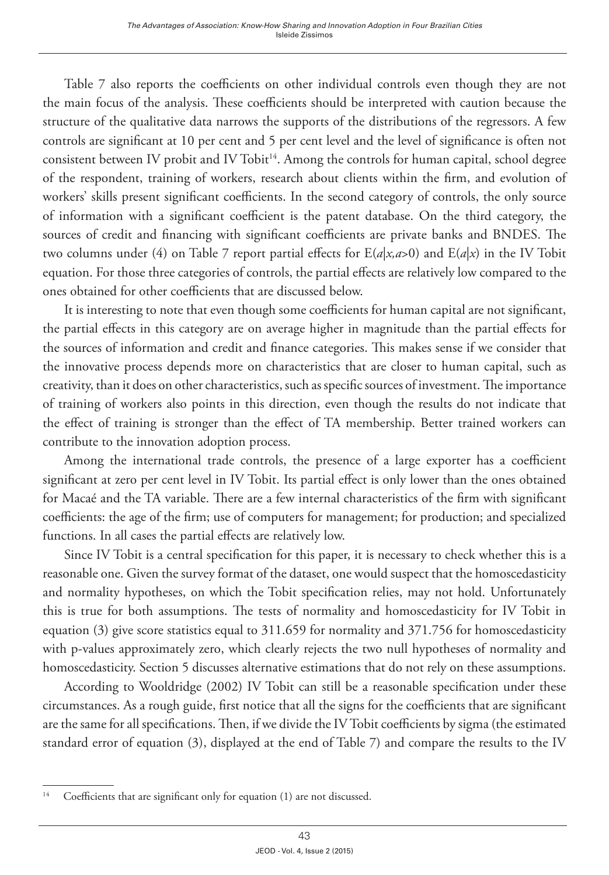Table 7 also reports the coefficients on other individual controls even though they are not the main focus of the analysis. These coefficients should be interpreted with caution because the structure of the qualitative data narrows the supports of the distributions of the regressors. A few controls are significant at 10 per cent and 5 per cent level and the level of significance is often not consistent between IV probit and IV Tobit<sup>14</sup>. Among the controls for human capital, school degree of the respondent, training of workers, research about clients within the firm, and evolution of workers' skills present significant coefficients. In the second category of controls, the only source of information with a significant coefficient is the patent database. On the third category, the sources of credit and financing with significant coefficients are private banks and BNDES. The two columns under (4) on Table 7 report partial effects for  $E(a|x, a>0)$  and  $E(a|x)$  in the IV Tobit equation. For those three categories of controls, the partial effects are relatively low compared to the ones obtained for other coefficients that are discussed below.

It is interesting to note that even though some coefficients for human capital are not significant, the partial effects in this category are on average higher in magnitude than the partial effects for the sources of information and credit and finance categories. This makes sense if we consider that the innovative process depends more on characteristics that are closer to human capital, such as creativity, than it does on other characteristics, such as specific sources of investment. The importance of training of workers also points in this direction, even though the results do not indicate that the effect of training is stronger than the effect of TA membership. Better trained workers can contribute to the innovation adoption process.

Among the international trade controls, the presence of a large exporter has a coefficient significant at zero per cent level in IV Tobit. Its partial effect is only lower than the ones obtained for Macaé and the TA variable. There are a few internal characteristics of the firm with significant coefficients: the age of the firm; use of computers for management; for production; and specialized functions. In all cases the partial effects are relatively low.

Since IV Tobit is a central specification for this paper, it is necessary to check whether this is a reasonable one. Given the survey format of the dataset, one would suspect that the homoscedasticity and normality hypotheses, on which the Tobit specification relies, may not hold. Unfortunately this is true for both assumptions. The tests of normality and homoscedasticity for IV Tobit in equation (3) give score statistics equal to 311.659 for normality and 371.756 for homoscedasticity with p-values approximately zero, which clearly rejects the two null hypotheses of normality and homoscedasticity. Section 5 discusses alternative estimations that do not rely on these assumptions.

According to Wooldridge (2002) IV Tobit can still be a reasonable specification under these circumstances. As a rough guide, first notice that all the signs for the coefficients that are significant are the same for all specifications. Then, if we divide the IV Tobit coefficients by sigma (the estimated standard error of equation (3), displayed at the end of Table 7) and compare the results to the IV

<sup>&</sup>lt;sup>14</sup> Coefficients that are significant only for equation (1) are not discussed.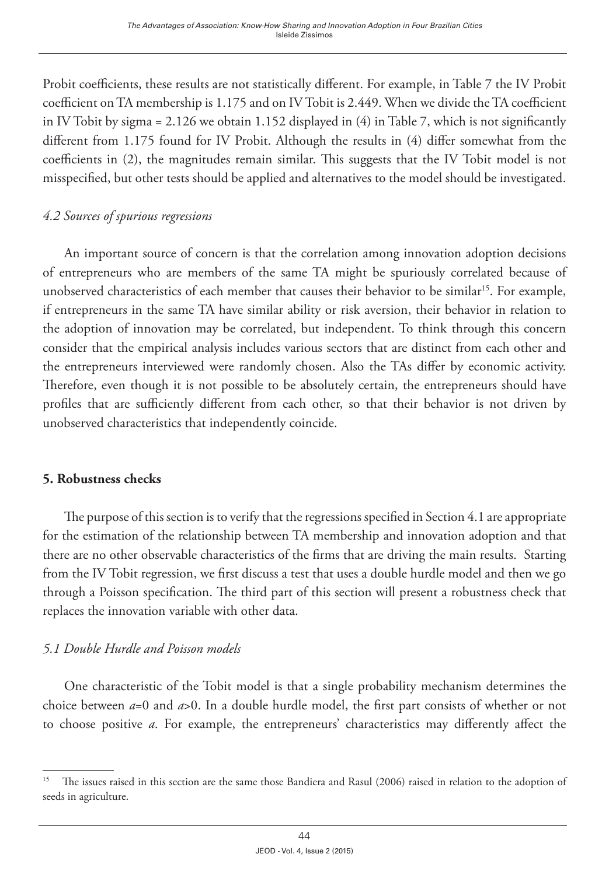Probit coefficients, these results are not statistically different. For example, in Table 7 the IV Probit coefficient on TA membership is 1.175 and on IV Tobit is 2.449. When we divide the TA coefficient in IV Tobit by sigma = 2.126 we obtain 1.152 displayed in (4) in Table 7, which is not significantly different from 1.175 found for IV Probit. Although the results in (4) differ somewhat from the coefficients in (2), the magnitudes remain similar. This suggests that the IV Tobit model is not misspecified, but other tests should be applied and alternatives to the model should be investigated.

# *4.2 Sources of spurious regressions*

An important source of concern is that the correlation among innovation adoption decisions of entrepreneurs who are members of the same TA might be spuriously correlated because of unobserved characteristics of each member that causes their behavior to be similar<sup>15</sup>. For example, if entrepreneurs in the same TA have similar ability or risk aversion, their behavior in relation to the adoption of innovation may be correlated, but independent. To think through this concern consider that the empirical analysis includes various sectors that are distinct from each other and the entrepreneurs interviewed were randomly chosen. Also the TAs differ by economic activity. Therefore, even though it is not possible to be absolutely certain, the entrepreneurs should have profiles that are sufficiently different from each other, so that their behavior is not driven by unobserved characteristics that independently coincide.

## **5. Robustness checks**

The purpose of this section is to verify that the regressions specified in Section 4.1 are appropriate for the estimation of the relationship between TA membership and innovation adoption and that there are no other observable characteristics of the firms that are driving the main results. Starting from the IV Tobit regression, we first discuss a test that uses a double hurdle model and then we go through a Poisson specification. The third part of this section will present a robustness check that replaces the innovation variable with other data.

# *5.1 Double Hurdle and Poisson models*

One characteristic of the Tobit model is that a single probability mechanism determines the choice between *a*=0 and *a*>0. In a double hurdle model, the first part consists of whether or not to choose positive *a*. For example, the entrepreneurs' characteristics may differently affect the

<sup>&</sup>lt;sup>15</sup> The issues raised in this section are the same those Bandiera and Rasul (2006) raised in relation to the adoption of seeds in agriculture.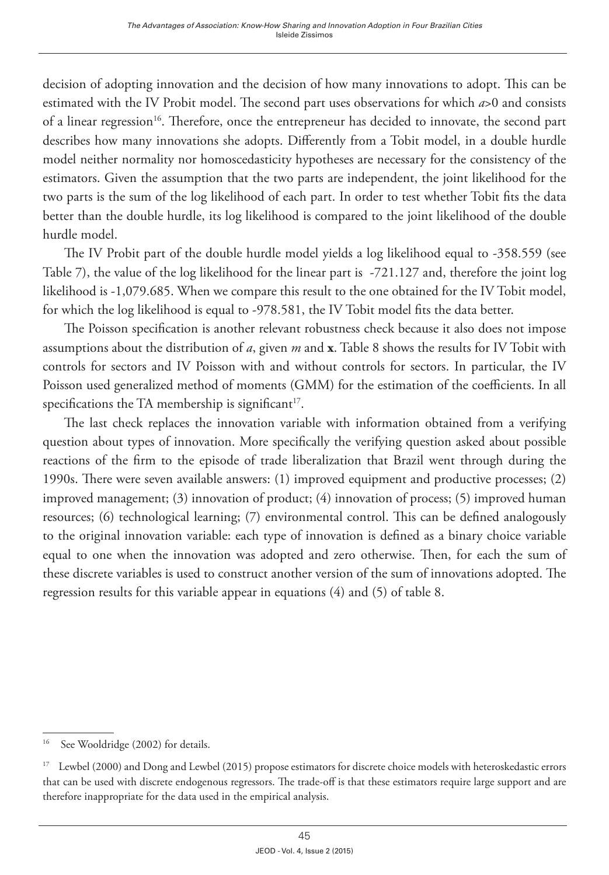decision of adopting innovation and the decision of how many innovations to adopt. This can be estimated with the IV Probit model. The second part uses observations for which *a*>0 and consists of a linear regression<sup>16</sup>. Therefore, once the entrepreneur has decided to innovate, the second part describes how many innovations she adopts. Differently from a Tobit model, in a double hurdle model neither normality nor homoscedasticity hypotheses are necessary for the consistency of the estimators. Given the assumption that the two parts are independent, the joint likelihood for the two parts is the sum of the log likelihood of each part. In order to test whether Tobit fits the data better than the double hurdle, its log likelihood is compared to the joint likelihood of the double hurdle model.

The IV Probit part of the double hurdle model yields a log likelihood equal to -358.559 (see Table 7), the value of the log likelihood for the linear part is -721.127 and, therefore the joint log likelihood is -1,079.685. When we compare this result to the one obtained for the IV Tobit model, for which the log likelihood is equal to -978.581, the IV Tobit model fits the data better.

The Poisson specification is another relevant robustness check because it also does not impose assumptions about the distribution of *a*, given *m* and **x**. Table 8 shows the results for IV Tobit with controls for sectors and IV Poisson with and without controls for sectors. In particular, the IV Poisson used generalized method of moments (GMM) for the estimation of the coefficients. In all specifications the TA membership is significant $17$ .

The last check replaces the innovation variable with information obtained from a verifying question about types of innovation. More specifically the verifying question asked about possible reactions of the firm to the episode of trade liberalization that Brazil went through during the 1990s. There were seven available answers: (1) improved equipment and productive processes; (2) improved management; (3) innovation of product; (4) innovation of process; (5) improved human resources; (6) technological learning; (7) environmental control. This can be defined analogously to the original innovation variable: each type of innovation is defined as a binary choice variable equal to one when the innovation was adopted and zero otherwise. Then, for each the sum of these discrete variables is used to construct another version of the sum of innovations adopted. The regression results for this variable appear in equations (4) and (5) of table 8.

<sup>&</sup>lt;sup>16</sup> See Wooldridge (2002) for details.

<sup>&</sup>lt;sup>17</sup> Lewbel (2000) and Dong and Lewbel (2015) propose estimators for discrete choice models with heteroskedastic errors that can be used with discrete endogenous regressors. The trade-off is that these estimators require large support and are therefore inappropriate for the data used in the empirical analysis.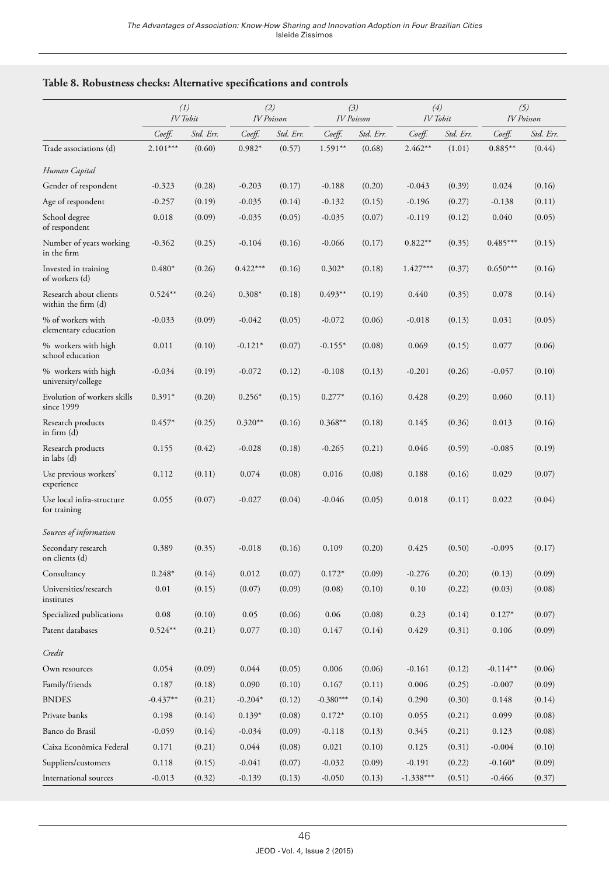|  |  |  |  | Table 8. Robustness checks: Alternative specifications and controls |  |  |
|--|--|--|--|---------------------------------------------------------------------|--|--|
|--|--|--|--|---------------------------------------------------------------------|--|--|

|                                               |            | (1)<br>IV Tobit | <b>IV</b> Poisson | (2)       |             | (3)<br><b>IV</b> Poisson |             | (4)<br>IV Tobit |            | (5)<br><b>IV</b> Poisson |
|-----------------------------------------------|------------|-----------------|-------------------|-----------|-------------|--------------------------|-------------|-----------------|------------|--------------------------|
|                                               | Coeff.     | Std. Err.       | Coeff.            | Std. Err. | Coeff.      | Std. Err.                | Coeff.      | Std. Err.       | Coeff.     | Std. Err.                |
| Trade associations (d)                        | $2.101***$ | (0.60)          | $0.982*$          | (0.57)    | $1.591**$   | (0.68)                   | $2.462**$   | (1.01)          | $0.885**$  | (0.44)                   |
| Human Capital                                 |            |                 |                   |           |             |                          |             |                 |            |                          |
| Gender of respondent                          | $-0.323$   | (0.28)          | $-0.203$          | (0.17)    | $-0.188$    | (0.20)                   | $-0.043$    | (0.39)          | 0.024      | (0.16)                   |
| Age of respondent                             | $-0.257$   | (0.19)          | $-0.035$          | (0.14)    | $-0.132$    | (0.15)                   | $-0.196$    | (0.27)          | $-0.138$   | (0.11)                   |
| School degree<br>of respondent                | 0.018      | (0.09)          | $-0.035$          | (0.05)    | $-0.035$    | (0.07)                   | $-0.119$    | (0.12)          | 0.040      | (0.05)                   |
| Number of years working<br>in the firm        | $-0.362$   | (0.25)          | $-0.104$          | (0.16)    | $-0.066$    | (0.17)                   | $0.822**$   | (0.35)          | $0.485***$ | (0.15)                   |
| Invested in training<br>of workers (d)        | $0.480*$   | (0.26)          | $0.422***$        | (0.16)    | $0.302*$    | (0.18)                   | $1.427***$  | (0.37)          | $0.650***$ | (0.16)                   |
| Research about clients<br>within the firm (d) | $0.524***$ | (0.24)          | $0.308*$          | (0.18)    | $0.493**$   | (0.19)                   | 0.440       | (0.35)          | 0.078      | (0.14)                   |
| % of workers with<br>elementary education     | $-0.033$   | (0.09)          | $-0.042$          | (0.05)    | $-0.072$    | (0.06)                   | $-0.018$    | (0.13)          | 0.031      | (0.05)                   |
| % workers with high<br>school education       | 0.011      | (0.10)          | $-0.121*$         | (0.07)    | $-0.155*$   | (0.08)                   | 0.069       | (0.15)          | 0.077      | (0.06)                   |
| % workers with high<br>university/college     | $-0.034$   | (0.19)          | $-0.072$          | (0.12)    | $-0.108$    | (0.13)                   | $-0.201$    | (0.26)          | $-0.057$   | (0.10)                   |
| Evolution of workers skills<br>since 1999     | $0.391*$   | (0.20)          | $0.256*$          | (0.15)    | $0.277*$    | (0.16)                   | 0.428       | (0.29)          | 0.060      | (0.11)                   |
| Research products<br>in firm (d)              | $0.457*$   | (0.25)          | $0.320**$         | (0.16)    | $0.368**$   | (0.18)                   | 0.145       | (0.36)          | 0.013      | (0.16)                   |
| Research products<br>in labs (d)              | 0.155      | (0.42)          | $-0.028$          | (0.18)    | $-0.265$    | (0.21)                   | 0.046       | (0.59)          | $-0.085$   | (0.19)                   |
| Use previous workers'<br>experience           | 0.112      | (0.11)          | 0.074             | (0.08)    | 0.016       | (0.08)                   | 0.188       | (0.16)          | 0.029      | (0.07)                   |
| Use local infra-structure<br>for training     | 0.055      | (0.07)          | $-0.027$          | (0.04)    | $-0.046$    | (0.05)                   | 0.018       | (0.11)          | 0.022      | (0.04)                   |
| Sources of information                        |            |                 |                   |           |             |                          |             |                 |            |                          |
| Secondary research<br>on clients (d)          | 0.389      | (0.35)          | $-0.018$          | (0.16)    | 0.109       | (0.20)                   | 0.425       | (0.50)          | $-0.095$   | (0.17)                   |
| Consultancy                                   | $0.248*$   | (0.14)          | 0.012             | (0.07)    | $0.172*$    | (0.09)                   | $-0.276$    | (0.20)          | (0.13)     | (0.09)                   |
| Universities/research<br>institutes           | 0.01       | (0.15)          | (0.07)            | (0.09)    | (0.08)      | (0.10)                   | 0.10        | (0.22)          | (0.03)     | (0.08)                   |
| Specialized publications                      | 0.08       | (0.10)          | 0.05              | (0.06)    | 0.06        | (0.08)                   | 0.23        | (0.14)          | $0.127*$   | (0.07)                   |
| Patent databases                              | $0.524***$ | (0.21)          | 0.077             | (0.10)    | 0.147       | (0.14)                   | 0.429       | (0.31)          | 0.106      | (0.09)                   |
| Credit                                        |            |                 |                   |           |             |                          |             |                 |            |                          |
| Own resources                                 | 0.054      | (0.09)          | 0.044             | (0.05)    | 0.006       | (0.06)                   | $-0.161$    | (0.12)          | $-0.114**$ | (0.06)                   |
| Family/friends                                | 0.187      | (0.18)          | 0.090             | (0.10)    | 0.167       | (0.11)                   | 0.006       | (0.25)          | $-0.007$   | (0.09)                   |
| <b>BNDES</b>                                  | $-0.437**$ | (0.21)          | $-0.204*$         | (0.12)    | $-0.380***$ | (0.14)                   | 0.290       | (0.30)          | 0.148      | (0.14)                   |
| Private banks                                 | 0.198      | (0.14)          | $0.139*$          | (0.08)    | $0.172*$    | (0.10)                   | 0.055       | (0.21)          | 0.099      | (0.08)                   |
| Banco do Brasil                               | $-0.059$   | (0.14)          | $-0.034$          | (0.09)    | $-0.118$    | (0.13)                   | 0.345       | (0.21)          | 0.123      | (0.08)                   |
| Caixa Econômica Federal                       | 0.171      | (0.21)          | 0.044             | (0.08)    | 0.021       | (0.10)                   | 0.125       | (0.31)          | $-0.004$   | (0.10)                   |
| Suppliers/customers                           | 0.118      | (0.15)          | $-0.041$          | (0.07)    | $-0.032$    | (0.09)                   | $-0.191$    | (0.22)          | $-0.160*$  | (0.09)                   |
| International sources                         | $-0.013$   | (0.32)          | $-0.139$          | (0.13)    | $-0.050$    | (0.13)                   | $-1.338***$ | (0.51)          | $-0.466$   | (0.37)                   |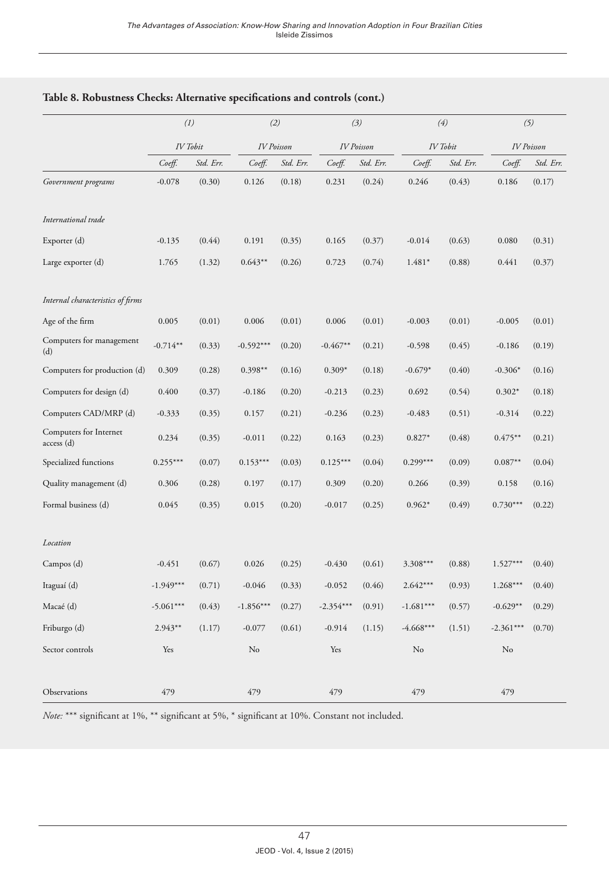|                                      |             | (1)       |             | (2)               |             | (3)               |             | (4)       |             | (5)               |
|--------------------------------------|-------------|-----------|-------------|-------------------|-------------|-------------------|-------------|-----------|-------------|-------------------|
|                                      | IV Tobit    |           |             | <b>IV</b> Poisson |             | <b>IV</b> Poisson |             | IV Tobit  |             | <b>IV</b> Poisson |
|                                      | Coeff.      | Std. Err. | Coeff.      | Std. Err.         | Coeff.      | Std. Err.         | Coeff.      | Std. Err. | Coeff.      | Std. Err.         |
| Government programs                  | $-0.078$    | (0.30)    | 0.126       | (0.18)            | 0.231       | (0.24)            | 0.246       | (0.43)    | 0.186       | (0.17)            |
| International trade                  |             |           |             |                   |             |                   |             |           |             |                   |
| Exporter (d)                         | $-0.135$    | (0.44)    | 0.191       | (0.35)            | 0.165       | (0.37)            | $-0.014$    | (0.63)    | 0.080       | (0.31)            |
| Large exporter (d)                   | 1.765       | (1.32)    | $0.643**$   | (0.26)            | 0.723       | (0.74)            | $1.481*$    | (0.88)    | 0.441       | (0.37)            |
| Internal characteristics of firms    |             |           |             |                   |             |                   |             |           |             |                   |
| Age of the firm                      | 0.005       | (0.01)    | 0.006       | (0.01)            | 0.006       | (0.01)            | $-0.003$    | (0.01)    | $-0.005$    | (0.01)            |
| Computers for management<br>(d)      | $-0.714**$  | (0.33)    | $-0.592***$ | (0.20)            | $-0.467**$  | (0.21)            | $-0.598$    | (0.45)    | $-0.186$    | (0.19)            |
| Computers for production (d)         | 0.309       | (0.28)    | $0.398**$   | (0.16)            | $0.309*$    | (0.18)            | $-0.679*$   | (0.40)    | $-0.306*$   | (0.16)            |
| Computers for design (d)             | 0.400       | (0.37)    | $-0.186$    | (0.20)            | $-0.213$    | (0.23)            | 0.692       | (0.54)    | $0.302*$    | (0.18)            |
| Computers CAD/MRP (d)                | $-0.333$    | (0.35)    | 0.157       | (0.21)            | $-0.236$    | (0.23)            | $-0.483$    | (0.51)    | $-0.314$    | (0.22)            |
| Computers for Internet<br>access (d) | 0.234       | (0.35)    | $-0.011$    | (0.22)            | 0.163       | (0.23)            | $0.827*$    | (0.48)    | $0.475***$  | (0.21)            |
| Specialized functions                | $0.255***$  | (0.07)    | $0.153***$  | (0.03)            | $0.125***$  | (0.04)            | $0.299***$  | (0.09)    | $0.087**$   | (0.04)            |
| Quality management (d)               | 0.306       | (0.28)    | 0.197       | (0.17)            | 0.309       | (0.20)            | 0.266       | (0.39)    | 0.158       | (0.16)            |
| Formal business (d)                  | 0.045       | (0.35)    | 0.015       | (0.20)            | $-0.017$    | (0.25)            | $0.962*$    | (0.49)    | $0.730***$  | (0.22)            |
| Location                             |             |           |             |                   |             |                   |             |           |             |                   |
| Campos (d)                           | $-0.451$    | (0.67)    | 0.026       | (0.25)            | $-0.430$    | (0.61)            | 3.308***    | (0.88)    | $1.527***$  | (0.40)            |
| Itaguaí (d)                          | $-1.949***$ | (0.71)    | $-0.046$    | (0.33)            | $-0.052$    | (0.46)            | $2.642***$  | (0.93)    | $1.268***$  | (0.40)            |
| Macaé (d)                            | $-5.061***$ | (0.43)    | $-1.856***$ | (0.27)            | $-2.354***$ | (0.91)            | $-1.681***$ | (0.57)    | $-0.629**$  | (0.29)            |
| Friburgo (d)                         | $2.943**$   | (1.17)    | $-0.077$    | (0.61)            | $-0.914$    | (1.15)            | $-4.668***$ | (1.51)    | $-2.361***$ | (0.70)            |
| Sector controls                      | Yes         |           | No          |                   | Yes         |                   | No          |           | No          |                   |
| Observations                         | 479         |           | 479         |                   | 479         |                   | 479         |           | 479         |                   |

## **Table 8. Robustness Checks: Alternative specifications and controls (cont.)**

*Note:* \*\*\* significant at 1%, \*\* significant at 5%, \* significant at 10%. Constant not included.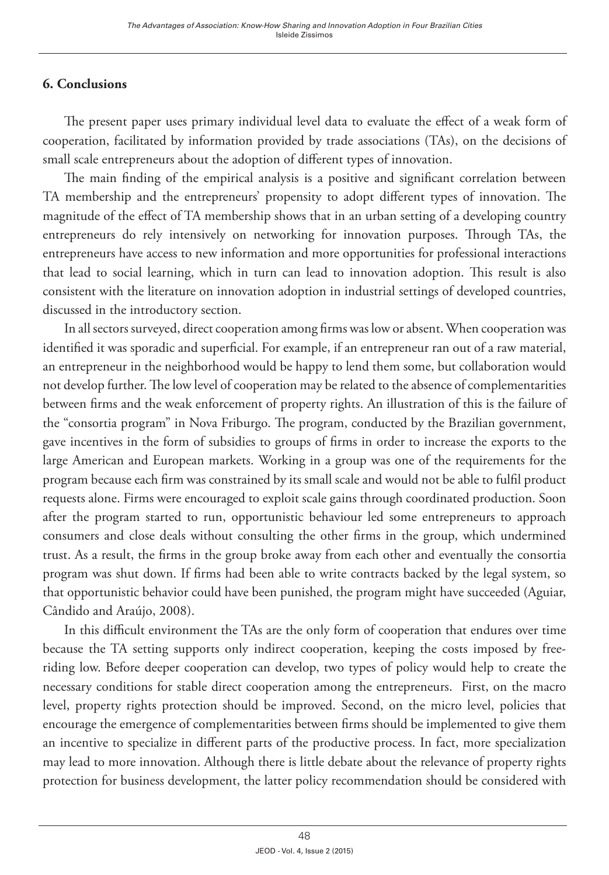# **6. Conclusions**

The present paper uses primary individual level data to evaluate the effect of a weak form of cooperation, facilitated by information provided by trade associations (TAs), on the decisions of small scale entrepreneurs about the adoption of different types of innovation.

The main finding of the empirical analysis is a positive and significant correlation between TA membership and the entrepreneurs' propensity to adopt different types of innovation. The magnitude of the effect of TA membership shows that in an urban setting of a developing country entrepreneurs do rely intensively on networking for innovation purposes. Through TAs, the entrepreneurs have access to new information and more opportunities for professional interactions that lead to social learning, which in turn can lead to innovation adoption. This result is also consistent with the literature on innovation adoption in industrial settings of developed countries, discussed in the introductory section.

In all sectors surveyed, direct cooperation among firms was low or absent. When cooperation was identified it was sporadic and superficial. For example, if an entrepreneur ran out of a raw material, an entrepreneur in the neighborhood would be happy to lend them some, but collaboration would not develop further. The low level of cooperation may be related to the absence of complementarities between firms and the weak enforcement of property rights. An illustration of this is the failure of the "consortia program" in Nova Friburgo. The program, conducted by the Brazilian government, gave incentives in the form of subsidies to groups of firms in order to increase the exports to the large American and European markets. Working in a group was one of the requirements for the program because each firm was constrained by its small scale and would not be able to fulfil product requests alone. Firms were encouraged to exploit scale gains through coordinated production. Soon after the program started to run, opportunistic behaviour led some entrepreneurs to approach consumers and close deals without consulting the other firms in the group, which undermined trust. As a result, the firms in the group broke away from each other and eventually the consortia program was shut down. If firms had been able to write contracts backed by the legal system, so that opportunistic behavior could have been punished, the program might have succeeded (Aguiar, Cândido and Araújo, 2008).

In this difficult environment the TAs are the only form of cooperation that endures over time because the TA setting supports only indirect cooperation, keeping the costs imposed by freeriding low. Before deeper cooperation can develop, two types of policy would help to create the necessary conditions for stable direct cooperation among the entrepreneurs. First, on the macro level, property rights protection should be improved. Second, on the micro level, policies that encourage the emergence of complementarities between firms should be implemented to give them an incentive to specialize in different parts of the productive process. In fact, more specialization may lead to more innovation. Although there is little debate about the relevance of property rights protection for business development, the latter policy recommendation should be considered with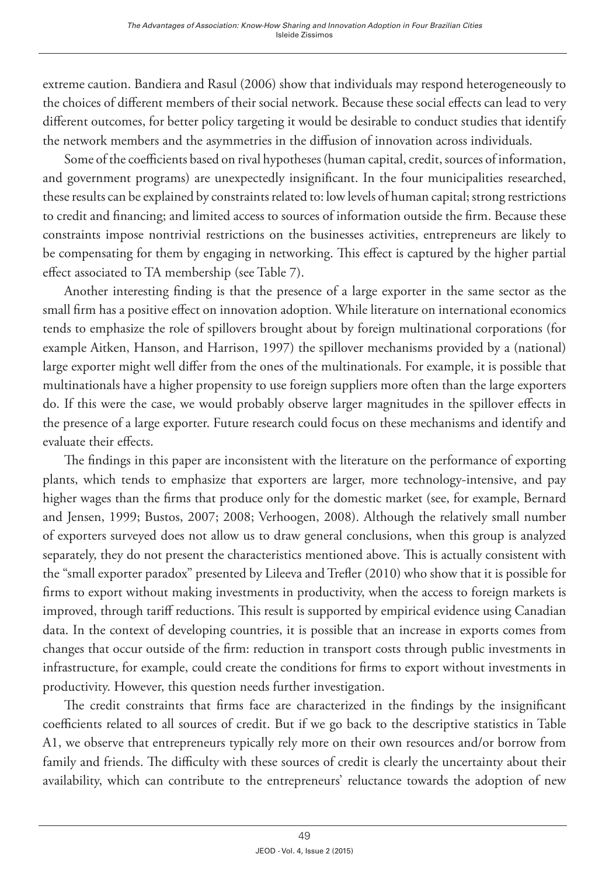extreme caution. Bandiera and Rasul (2006) show that individuals may respond heterogeneously to the choices of different members of their social network. Because these social effects can lead to very different outcomes, for better policy targeting it would be desirable to conduct studies that identify the network members and the asymmetries in the diffusion of innovation across individuals.

Some of the coefficients based on rival hypotheses (human capital, credit, sources of information, and government programs) are unexpectedly insignificant. In the four municipalities researched, these results can be explained by constraints related to: low levels of human capital; strong restrictions to credit and financing; and limited access to sources of information outside the firm. Because these constraints impose nontrivial restrictions on the businesses activities, entrepreneurs are likely to be compensating for them by engaging in networking. This effect is captured by the higher partial effect associated to TA membership (see Table 7).

Another interesting finding is that the presence of a large exporter in the same sector as the small firm has a positive effect on innovation adoption. While literature on international economics tends to emphasize the role of spillovers brought about by foreign multinational corporations (for example Aitken, Hanson, and Harrison, 1997) the spillover mechanisms provided by a (national) large exporter might well differ from the ones of the multinationals. For example, it is possible that multinationals have a higher propensity to use foreign suppliers more often than the large exporters do. If this were the case, we would probably observe larger magnitudes in the spillover effects in the presence of a large exporter. Future research could focus on these mechanisms and identify and evaluate their effects.

The findings in this paper are inconsistent with the literature on the performance of exporting plants, which tends to emphasize that exporters are larger, more technology-intensive, and pay higher wages than the firms that produce only for the domestic market (see, for example, Bernard and Jensen, 1999; Bustos, 2007; 2008; Verhoogen, 2008). Although the relatively small number of exporters surveyed does not allow us to draw general conclusions, when this group is analyzed separately, they do not present the characteristics mentioned above. This is actually consistent with the "small exporter paradox" presented by Lileeva and Trefler (2010) who show that it is possible for firms to export without making investments in productivity, when the access to foreign markets is improved, through tariff reductions. This result is supported by empirical evidence using Canadian data. In the context of developing countries, it is possible that an increase in exports comes from changes that occur outside of the firm: reduction in transport costs through public investments in infrastructure, for example, could create the conditions for firms to export without investments in productivity. However, this question needs further investigation.

The credit constraints that firms face are characterized in the findings by the insignificant coefficients related to all sources of credit. But if we go back to the descriptive statistics in Table A1, we observe that entrepreneurs typically rely more on their own resources and/or borrow from family and friends. The difficulty with these sources of credit is clearly the uncertainty about their availability, which can contribute to the entrepreneurs' reluctance towards the adoption of new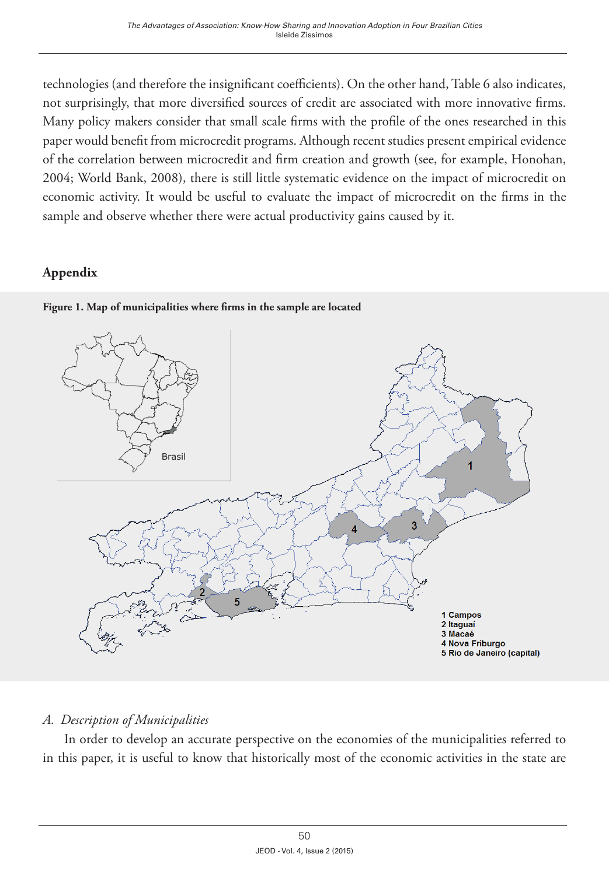technologies (and therefore the insignificant coefficients). On the other hand, Table 6 also indicates, not surprisingly, that more diversified sources of credit are associated with more innovative firms. Many policy makers consider that small scale firms with the profile of the ones researched in this paper would benefit from microcredit programs. Although recent studies present empirical evidence of the correlation between microcredit and firm creation and growth (see, for example, Honohan, 2004; World Bank, 2008), there is still little systematic evidence on the impact of microcredit on economic activity. It would be useful to evaluate the impact of microcredit on the firms in the sample and observe whether there were actual productivity gains caused by it.

# **Appendix**





# *A. Description of Municipalities*

In order to develop an accurate perspective on the economies of the municipalities referred to in this paper, it is useful to know that historically most of the economic activities in the state are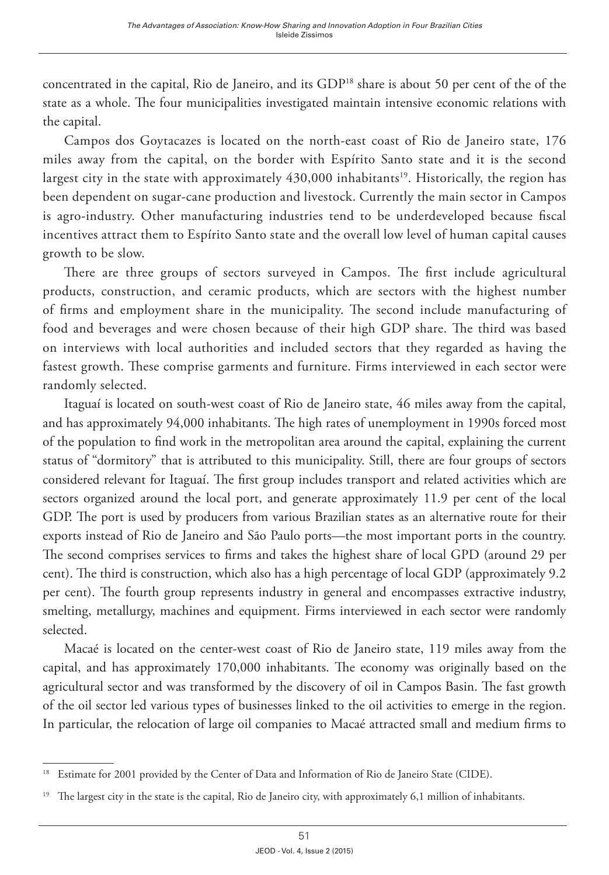concentrated in the capital, Rio de Janeiro, and its GDP<sup>18</sup> share is about 50 per cent of the of the state as a whole. The four municipalities investigated maintain intensive economic relations with the capital.

Campos dos Goytacazes is located on the north-east coast of Rio de Janeiro state, 176 miles away from the capital, on the border with Espírito Santo state and it is the second largest city in the state with approximately  $430,000$  inhabitants<sup>19</sup>. Historically, the region has been dependent on sugar-cane production and livestock. Currently the main sector in Campos is agro-industry. Other manufacturing industries tend to be underdeveloped because fiscal incentives attract them to Espírito Santo state and the overall low level of human capital causes growth to be slow.

There are three groups of sectors surveyed in Campos. The first include agricultural products, construction, and ceramic products, which are sectors with the highest number of firms and employment share in the municipality. The second include manufacturing of food and beverages and were chosen because of their high GDP share. The third was based on interviews with local authorities and included sectors that they regarded as having the fastest growth. These comprise garments and furniture. Firms interviewed in each sector were randomly selected.

Itaguaí is located on south-west coast of Rio de Janeiro state, 46 miles away from the capital, and has approximately 94,000 inhabitants. The high rates of unemployment in 1990s forced most of the population to find work in the metropolitan area around the capital, explaining the current status of "dormitory" that is attributed to this municipality. Still, there are four groups of sectors considered relevant for Itaguaí. The first group includes transport and related activities which are sectors organized around the local port, and generate approximately 11.9 per cent of the local GDP. The port is used by producers from various Brazilian states as an alternative route for their exports instead of Rio de Janeiro and São Paulo ports—the most important ports in the country. The second comprises services to firms and takes the highest share of local GPD (around 29 per cent). The third is construction, which also has a high percentage of local GDP (approximately 9.2 per cent). The fourth group represents industry in general and encompasses extractive industry, smelting, metallurgy, machines and equipment. Firms interviewed in each sector were randomly selected.

Macaé is located on the center-west coast of Rio de Janeiro state, 119 miles away from the capital, and has approximately 170,000 inhabitants. The economy was originally based on the agricultural sector and was transformed by the discovery of oil in Campos Basin. The fast growth of the oil sector led various types of businesses linked to the oil activities to emerge in the region. In particular, the relocation of large oil companies to Macaé attracted small and medium firms to

<sup>&</sup>lt;sup>18</sup> Estimate for 2001 provided by the Center of Data and Information of Rio de Janeiro State (CIDE).

<sup>&</sup>lt;sup>19</sup> The largest city in the state is the capital, Rio de Janeiro city, with approximately 6,1 million of inhabitants.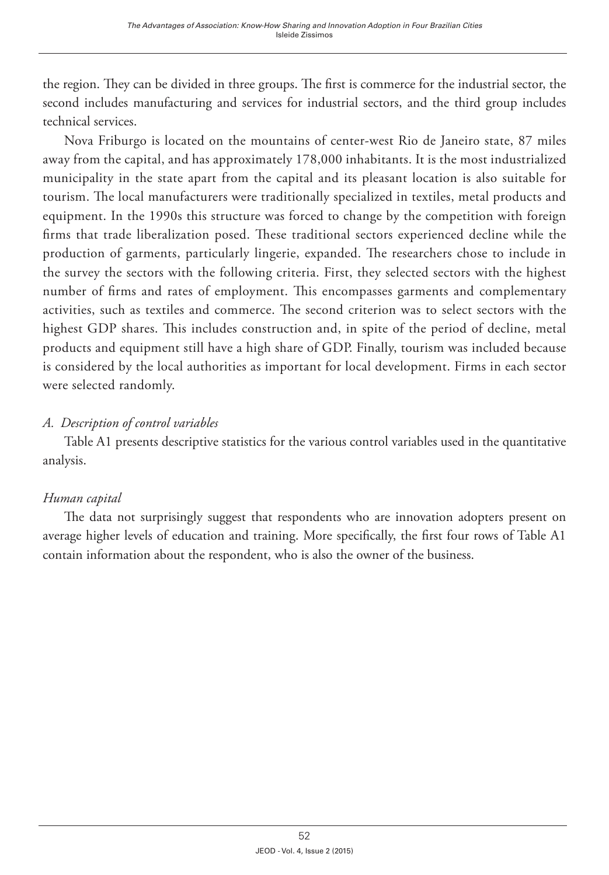the region. They can be divided in three groups. The first is commerce for the industrial sector, the second includes manufacturing and services for industrial sectors, and the third group includes technical services.

Nova Friburgo is located on the mountains of center-west Rio de Janeiro state, 87 miles away from the capital, and has approximately 178,000 inhabitants. It is the most industrialized municipality in the state apart from the capital and its pleasant location is also suitable for tourism. The local manufacturers were traditionally specialized in textiles, metal products and equipment. In the 1990s this structure was forced to change by the competition with foreign firms that trade liberalization posed. These traditional sectors experienced decline while the production of garments, particularly lingerie, expanded. The researchers chose to include in the survey the sectors with the following criteria. First, they selected sectors with the highest number of firms and rates of employment. This encompasses garments and complementary activities, such as textiles and commerce. The second criterion was to select sectors with the highest GDP shares. This includes construction and, in spite of the period of decline, metal products and equipment still have a high share of GDP. Finally, tourism was included because is considered by the local authorities as important for local development. Firms in each sector were selected randomly.

# *A. Description of control variables*

Table A1 presents descriptive statistics for the various control variables used in the quantitative analysis.

## *Human capital*

The data not surprisingly suggest that respondents who are innovation adopters present on average higher levels of education and training. More specifically, the first four rows of Table A1 contain information about the respondent, who is also the owner of the business.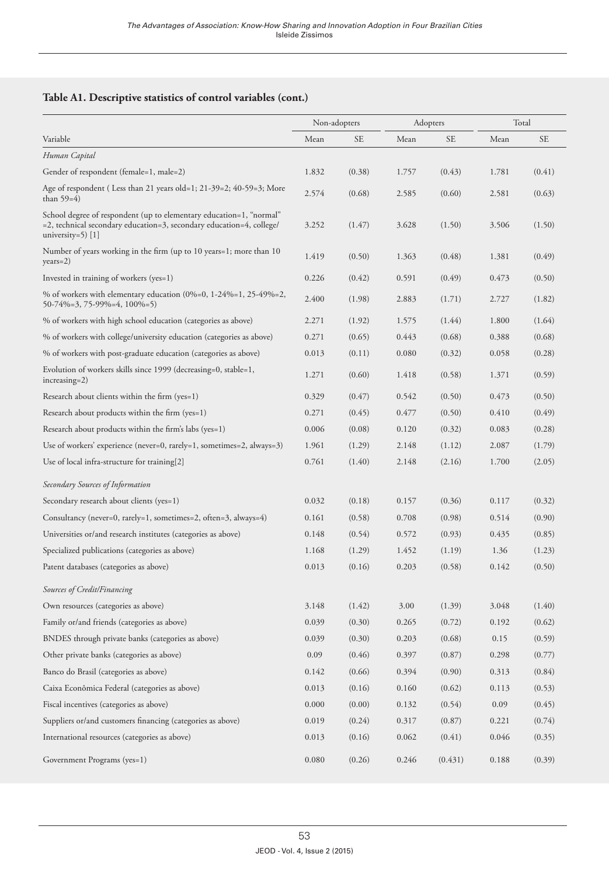## **Table A1. Descriptive statistics of control variables (cont.)**

|                                                                                                                                                                    | Non-adopters |        |       | Adopters  |       | Total  |  |
|--------------------------------------------------------------------------------------------------------------------------------------------------------------------|--------------|--------|-------|-----------|-------|--------|--|
| Variable                                                                                                                                                           | Mean         | SE     | Mean  | <b>SE</b> | Mean  | SE     |  |
| Human Capital                                                                                                                                                      |              |        |       |           |       |        |  |
| Gender of respondent (female=1, male=2)                                                                                                                            | 1.832        | (0.38) | 1.757 | (0.43)    | 1.781 | (0.41) |  |
| Age of respondent (Less than 21 years old=1; 21-39=2; 40-59=3; More<br>than $59=4$ )                                                                               | 2.574        | (0.68) | 2.585 | (0.60)    | 2.581 | (0.63) |  |
| School degree of respondent (up to elementary education=1, "normal"<br>=2, technical secondary education=3, secondary education=4, college/<br>university=5) $[1]$ | 3.252        | (1.47) | 3.628 | (1.50)    | 3.506 | (1.50) |  |
| Number of years working in the firm (up to 10 years=1; more than 10<br>$years=2)$                                                                                  | 1.419        | (0.50) | 1.363 | (0.48)    | 1.381 | (0.49) |  |
| Invested in training of workers (yes=1)                                                                                                                            | 0.226        | (0.42) | 0.591 | (0.49)    | 0.473 | (0.50) |  |
| % of workers with elementary education $(0\% = 0, 1 - 24\% = 1, 25 - 49\% = 2,$<br>$50-74\% = 3, 75-99\% = 4, 100\% = 5$                                           | 2.400        | (1.98) | 2.883 | (1.71)    | 2.727 | (1.82) |  |
| % of workers with high school education (categories as above)                                                                                                      | 2.271        | (1.92) | 1.575 | (1.44)    | 1.800 | (1.64) |  |
| % of workers with college/university education (categories as above)                                                                                               | 0.271        | (0.65) | 0.443 | (0.68)    | 0.388 | (0.68) |  |
| % of workers with post-graduate education (categories as above)                                                                                                    | 0.013        | (0.11) | 0.080 | (0.32)    | 0.058 | (0.28) |  |
| Evolution of workers skills since 1999 (decreasing=0, stable=1,<br>$increasing=2)$                                                                                 | 1.271        | (0.60) | 1.418 | (0.58)    | 1.371 | (0.59) |  |
| Research about clients within the firm (yes=1)                                                                                                                     | 0.329        | (0.47) | 0.542 | (0.50)    | 0.473 | (0.50) |  |
| Research about products within the firm (yes=1)                                                                                                                    | 0.271        | (0.45) | 0.477 | (0.50)    | 0.410 | (0.49) |  |
| Research about products within the firm's labs (yes=1)                                                                                                             | 0.006        | (0.08) | 0.120 | (0.32)    | 0.083 | (0.28) |  |
| Use of workers' experience (never=0, rarely=1, sometimes=2, always=3)                                                                                              | 1.961        | (1.29) | 2.148 | (1.12)    | 2.087 | (1.79) |  |
| Use of local infra-structure for training[2]                                                                                                                       | 0.761        | (1.40) | 2.148 | (2.16)    | 1.700 | (2.05) |  |
| Secondary Sources of Information                                                                                                                                   |              |        |       |           |       |        |  |
| Secondary research about clients (yes=1)                                                                                                                           | 0.032        | (0.18) | 0.157 | (0.36)    | 0.117 | (0.32) |  |
| Consultancy (never=0, rarely=1, sometimes=2, often=3, always=4)                                                                                                    | 0.161        | (0.58) | 0.708 | (0.98)    | 0.514 | (0.90) |  |
| Universities or/and research institutes (categories as above)                                                                                                      | 0.148        | (0.54) | 0.572 | (0.93)    | 0.435 | (0.85) |  |
| Specialized publications (categories as above)                                                                                                                     | 1.168        | (1.29) | 1.452 | (1.19)    | 1.36  | (1.23) |  |
| Patent databases (categories as above)                                                                                                                             | 0.013        | (0.16) | 0.203 | (0.58)    | 0.142 | (0.50) |  |
| Sources of Credit/Financing                                                                                                                                        |              |        |       |           |       |        |  |
| Own resources (categories as above)                                                                                                                                | 3.148        | (1.42) | 3.00  | (1.39)    | 3.048 | (1.40) |  |
| Family or/and friends (categories as above)                                                                                                                        | 0.039        | (0.30) | 0.265 | (0.72)    | 0.192 | (0.62) |  |
| BNDES through private banks (categories as above)                                                                                                                  | 0.039        | (0.30) | 0.203 | (0.68)    | 0.15  | (0.59) |  |
| Other private banks (categories as above)                                                                                                                          | 0.09         | (0.46) | 0.397 | (0.87)    | 0.298 | (0.77) |  |
| Banco do Brasil (categories as above)                                                                                                                              | 0.142        | (0.66) | 0.394 | (0.90)    | 0.313 | (0.84) |  |
| Caixa Econômica Federal (categories as above)                                                                                                                      | 0.013        | (0.16) | 0.160 | (0.62)    | 0.113 | (0.53) |  |
| Fiscal incentives (categories as above)                                                                                                                            | 0.000        | (0.00) | 0.132 | (0.54)    | 0.09  | (0.45) |  |
| Suppliers or/and customers financing (categories as above)                                                                                                         | 0.019        | (0.24) | 0.317 | (0.87)    | 0.221 | (0.74) |  |
| International resources (categories as above)                                                                                                                      | 0.013        | (0.16) | 0.062 | (0.41)    | 0.046 | (0.35) |  |
| Government Programs (yes=1)                                                                                                                                        | 0.080        | (0.26) | 0.246 | (0.431)   | 0.188 | (0.39) |  |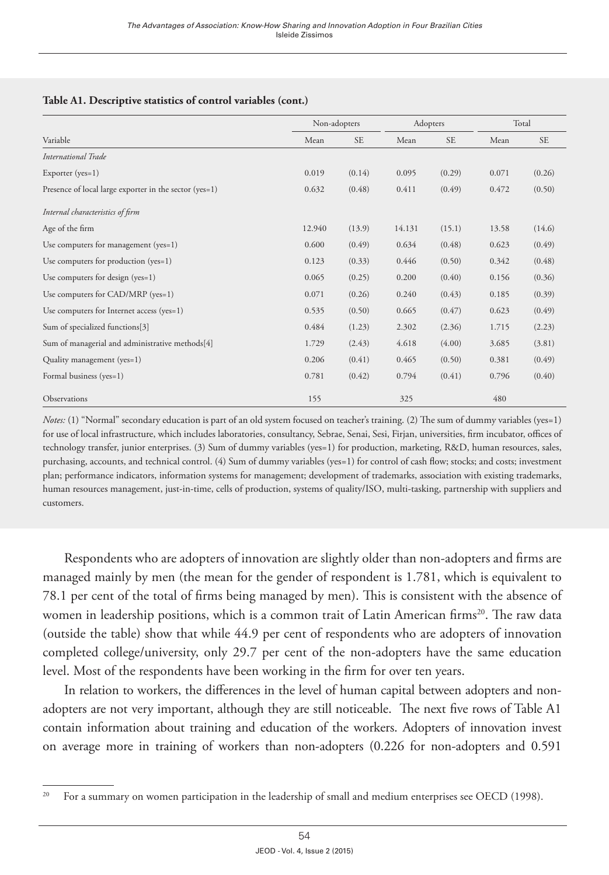#### **Table A1. Descriptive statistics of control variables (cont.)**

|                                                        | Non-adopters |           |        | Adopters  |       | Total     |
|--------------------------------------------------------|--------------|-----------|--------|-----------|-------|-----------|
| Variable                                               | Mean         | <b>SE</b> | Mean   | <b>SE</b> | Mean  | <b>SE</b> |
| International Trade                                    |              |           |        |           |       |           |
| Exporter $(yes=1)$                                     | 0.019        | (0.14)    | 0.095  | (0.29)    | 0.071 | (0.26)    |
| Presence of local large exporter in the sector (yes=1) | 0.632        | (0.48)    | 0.411  | (0.49)    | 0.472 | (0.50)    |
| Internal characteristics of firm                       |              |           |        |           |       |           |
| Age of the firm                                        | 12.940       | (13.9)    | 14.131 | (15.1)    | 13.58 | (14.6)    |
| Use computers for management (yes=1)                   | 0.600        | (0.49)    | 0.634  | (0.48)    | 0.623 | (0.49)    |
| Use computers for production (yes=1)                   | 0.123        | (0.33)    | 0.446  | (0.50)    | 0.342 | (0.48)    |
| Use computers for design (yes=1)                       | 0.065        | (0.25)    | 0.200  | (0.40)    | 0.156 | (0.36)    |
| Use computers for CAD/MRP (yes=1)                      | 0.071        | (0.26)    | 0.240  | (0.43)    | 0.185 | (0.39)    |
| Use computers for Internet access (yes=1)              | 0.535        | (0.50)    | 0.665  | (0.47)    | 0.623 | (0.49)    |
| Sum of specialized functions[3]                        | 0.484        | (1.23)    | 2.302  | (2.36)    | 1.715 | (2.23)    |
| Sum of managerial and administrative methods[4]        | 1.729        | (2.43)    | 4.618  | (4.00)    | 3.685 | (3.81)    |
| Quality management (yes=1)                             | 0.206        | (0.41)    | 0.465  | (0.50)    | 0.381 | (0.49)    |
| Formal business (yes=1)                                | 0.781        | (0.42)    | 0.794  | (0.41)    | 0.796 | (0.40)    |
| Observations                                           | 155          |           | 325    |           | 480   |           |

*Notes:* (1) "Normal" secondary education is part of an old system focused on teacher's training. (2) The sum of dummy variables (yes=1) for use of local infrastructure, which includes laboratories, consultancy, Sebrae, Senai, Sesi, Firjan, universities, firm incubator, offices of technology transfer, junior enterprises. (3) Sum of dummy variables (yes=1) for production, marketing, R&D, human resources, sales, purchasing, accounts, and technical control. (4) Sum of dummy variables (yes=1) for control of cash flow; stocks; and costs; investment plan; performance indicators, information systems for management; development of trademarks, association with existing trademarks, human resources management, just-in-time, cells of production, systems of quality/ISO, multi-tasking, partnership with suppliers and customers.

Respondents who are adopters of innovation are slightly older than non-adopters and firms are managed mainly by men (the mean for the gender of respondent is 1.781, which is equivalent to 78.1 per cent of the total of firms being managed by men). This is consistent with the absence of women in leadership positions, which is a common trait of Latin American firms<sup>20</sup>. The raw data (outside the table) show that while 44.9 per cent of respondents who are adopters of innovation completed college/university, only 29.7 per cent of the non-adopters have the same education level. Most of the respondents have been working in the firm for over ten years.

In relation to workers, the differences in the level of human capital between adopters and nonadopters are not very important, although they are still noticeable. The next five rows of Table A1 contain information about training and education of the workers. Adopters of innovation invest on average more in training of workers than non-adopters (0.226 for non-adopters and 0.591

<sup>&</sup>lt;sup>20</sup> For a summary on women participation in the leadership of small and medium enterprises see OECD (1998).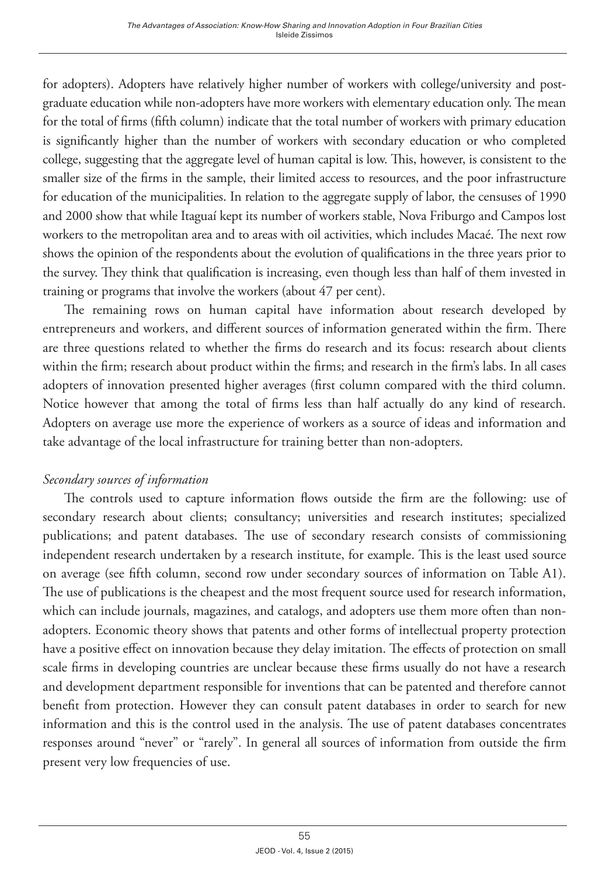for adopters). Adopters have relatively higher number of workers with college/university and postgraduate education while non-adopters have more workers with elementary education only. The mean for the total of firms (fifth column) indicate that the total number of workers with primary education is significantly higher than the number of workers with secondary education or who completed college, suggesting that the aggregate level of human capital is low. This, however, is consistent to the smaller size of the firms in the sample, their limited access to resources, and the poor infrastructure for education of the municipalities. In relation to the aggregate supply of labor, the censuses of 1990 and 2000 show that while Itaguaí kept its number of workers stable, Nova Friburgo and Campos lost workers to the metropolitan area and to areas with oil activities, which includes Macaé. The next row shows the opinion of the respondents about the evolution of qualifications in the three years prior to the survey. They think that qualification is increasing, even though less than half of them invested in training or programs that involve the workers (about 47 per cent).

The remaining rows on human capital have information about research developed by entrepreneurs and workers, and different sources of information generated within the firm. There are three questions related to whether the firms do research and its focus: research about clients within the firm; research about product within the firms; and research in the firm's labs. In all cases adopters of innovation presented higher averages (first column compared with the third column. Notice however that among the total of firms less than half actually do any kind of research. Adopters on average use more the experience of workers as a source of ideas and information and take advantage of the local infrastructure for training better than non-adopters.

## *Secondary sources of information*

The controls used to capture information flows outside the firm are the following: use of secondary research about clients; consultancy; universities and research institutes; specialized publications; and patent databases. The use of secondary research consists of commissioning independent research undertaken by a research institute, for example. This is the least used source on average (see fifth column, second row under secondary sources of information on Table A1). The use of publications is the cheapest and the most frequent source used for research information, which can include journals, magazines, and catalogs, and adopters use them more often than nonadopters. Economic theory shows that patents and other forms of intellectual property protection have a positive effect on innovation because they delay imitation. The effects of protection on small scale firms in developing countries are unclear because these firms usually do not have a research and development department responsible for inventions that can be patented and therefore cannot benefit from protection. However they can consult patent databases in order to search for new information and this is the control used in the analysis. The use of patent databases concentrates responses around "never" or "rarely". In general all sources of information from outside the firm present very low frequencies of use.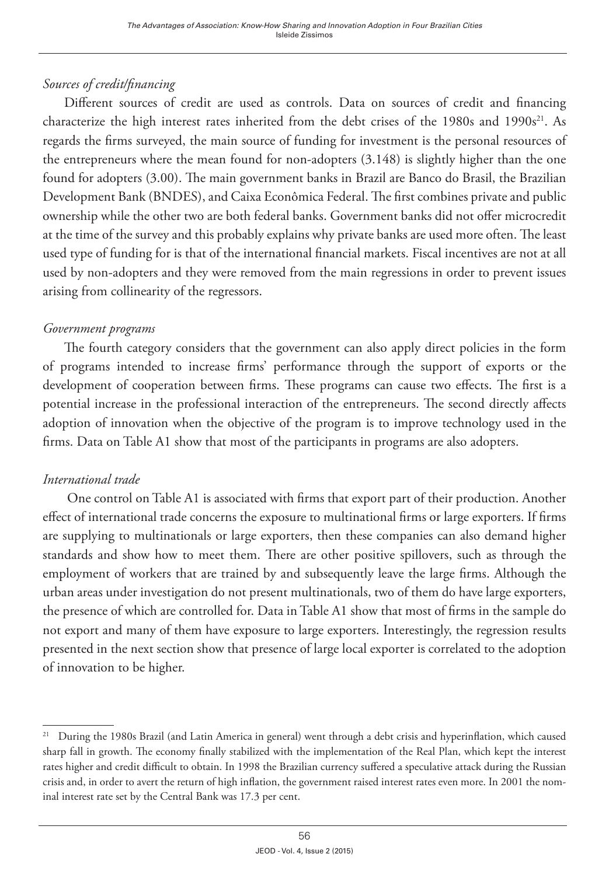# *Sources of credit/financing*

Different sources of credit are used as controls. Data on sources of credit and financing characterize the high interest rates inherited from the debt crises of the 1980s and 1990s<sup>21</sup>. As regards the firms surveyed, the main source of funding for investment is the personal resources of the entrepreneurs where the mean found for non-adopters (3.148) is slightly higher than the one found for adopters (3.00). The main government banks in Brazil are Banco do Brasil, the Brazilian Development Bank (BNDES), and Caixa Econômica Federal. The first combines private and public ownership while the other two are both federal banks. Government banks did not offer microcredit at the time of the survey and this probably explains why private banks are used more often. The least used type of funding for is that of the international financial markets. Fiscal incentives are not at all used by non-adopters and they were removed from the main regressions in order to prevent issues arising from collinearity of the regressors.

# *Government programs*

The fourth category considers that the government can also apply direct policies in the form of programs intended to increase firms' performance through the support of exports or the development of cooperation between firms. These programs can cause two effects. The first is a potential increase in the professional interaction of the entrepreneurs. The second directly affects adoption of innovation when the objective of the program is to improve technology used in the firms. Data on Table A1 show that most of the participants in programs are also adopters.

# *International trade*

One control on Table A1 is associated with firms that export part of their production. Another effect of international trade concerns the exposure to multinational firms or large exporters. If firms are supplying to multinationals or large exporters, then these companies can also demand higher standards and show how to meet them. There are other positive spillovers, such as through the employment of workers that are trained by and subsequently leave the large firms. Although the urban areas under investigation do not present multinationals, two of them do have large exporters, the presence of which are controlled for. Data in Table A1 show that most of firms in the sample do not export and many of them have exposure to large exporters. Interestingly, the regression results presented in the next section show that presence of large local exporter is correlated to the adoption of innovation to be higher.

<sup>&</sup>lt;sup>21</sup> During the 1980s Brazil (and Latin America in general) went through a debt crisis and hyperinflation, which caused sharp fall in growth. The economy finally stabilized with the implementation of the Real Plan, which kept the interest rates higher and credit difficult to obtain. In 1998 the Brazilian currency suffered a speculative attack during the Russian crisis and, in order to avert the return of high inflation, the government raised interest rates even more. In 2001 the nominal interest rate set by the Central Bank was 17.3 per cent.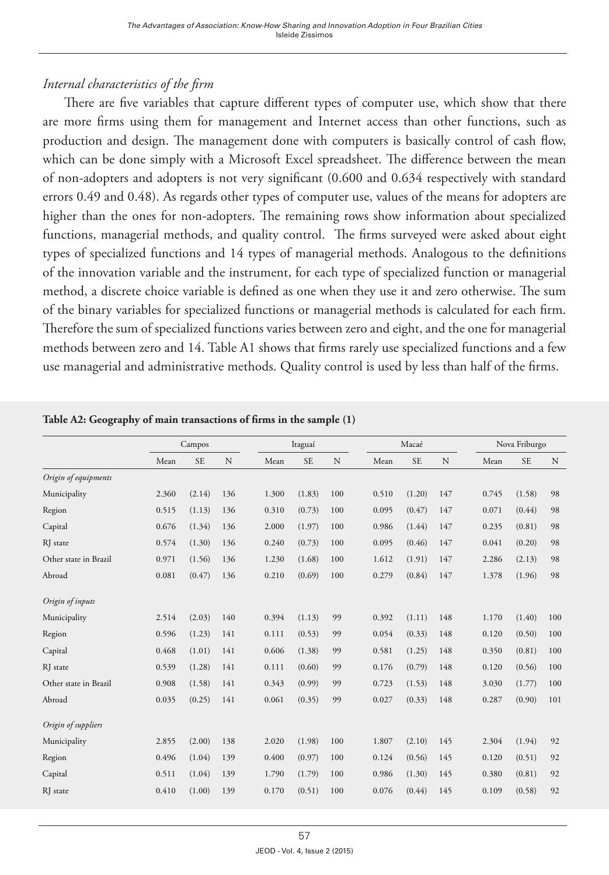## *Internal characteristics of the firm*

There are five variables that capture different types of computer use, which show that there are more firms using them for management and Internet access than other functions, such as production and design. The management done with computers is basically control of cash flow, which can be done simply with a Microsoft Excel spreadsheet. The difference between the mean of non-adopters and adopters is not very significant (0.600 and 0.634 respectively with standard errors 0.49 and 0.48). As regards other types of computer use, values of the means for adopters are higher than the ones for non-adopters. The remaining rows show information about specialized functions, managerial methods, and quality control. The firms surveyed were asked about eight types of specialized functions and 14 types of managerial methods. Analogous to the definitions of the innovation variable and the instrument, for each type of specialized function or managerial method, a discrete choice variable is defined as one when they use it and zero otherwise. The sum of the binary variables for specialized functions or managerial methods is calculated for each firm. Therefore the sum of specialized functions varies between zero and eight, and the one for managerial methods between zero and 14. Table A1 shows that firms rarely use specialized functions and a few use managerial and administrative methods. Quality control is used by less than half of the firms.

|                       |       | Campos    |     |       | Itaguaí   |     |       | Macaé     |     |       | Nova Friburgo |             |
|-----------------------|-------|-----------|-----|-------|-----------|-----|-------|-----------|-----|-------|---------------|-------------|
|                       | Mean  | <b>SE</b> | N   | Mean  | <b>SE</b> | N   | Mean  | <b>SE</b> | N   | Mean  | <b>SE</b>     | $\mathbf N$ |
| Origin of equipments  |       |           |     |       |           |     |       |           |     |       |               |             |
| Municipality          | 2.360 | (2.14)    | 136 | 1.300 | (1.83)    | 100 | 0.510 | (1.20)    | 147 | 0.745 | (1.58)        | 98          |
| Region                | 0.515 | (1.13)    | 136 | 0.310 | (0.73)    | 100 | 0.095 | (0.47)    | 147 | 0.071 | (0.44)        | 98          |
| Capital               | 0.676 | (1.34)    | 136 | 2.000 | (1.97)    | 100 | 0.986 | (1.44)    | 147 | 0.235 | (0.81)        | 98          |
| RJ state              | 0.574 | (1.30)    | 136 | 0.240 | (0.73)    | 100 | 0.095 | (0.46)    | 147 | 0.041 | (0.20)        | 98          |
| Other state in Brazil | 0.971 | (1.56)    | 136 | 1.230 | (1.68)    | 100 | 1.612 | (1.91)    | 147 | 2.286 | (2.13)        | 98          |
| Abroad                | 0.081 | (0.47)    | 136 | 0.210 | (0.69)    | 100 | 0.279 | (0.84)    | 147 | 1.378 | (1.96)        | 98          |
| Origin of inputs      |       |           |     |       |           |     |       |           |     |       |               |             |
| Municipality          | 2.514 | (2.03)    | 140 | 0.394 | (1.13)    | 99  | 0.392 | (1.11)    | 148 | 1.170 | (1.40)        | 100         |
| Region                | 0.596 | (1.23)    | 141 | 0.111 | (0.53)    | 99  | 0.054 | (0.33)    | 148 | 0.120 | (0.50)        | 100         |
| Capital               | 0.468 | (1.01)    | 141 | 0.606 | (1.38)    | 99  | 0.581 | (1.25)    | 148 | 0.350 | (0.81)        | 100         |
| RJ state              | 0.539 | (1.28)    | 141 | 0.111 | (0.60)    | 99  | 0.176 | (0.79)    | 148 | 0.120 | (0.56)        | 100         |
| Other state in Brazil | 0.908 | (1.58)    | 141 | 0.343 | (0.99)    | 99  | 0.723 | (1.53)    | 148 | 3.030 | (1.77)        | 100         |
| Abroad                | 0.035 | (0.25)    | 141 | 0.061 | (0.35)    | 99  | 0.027 | (0.33)    | 148 | 0.287 | (0.90)        | 101         |
| Origin of suppliers   |       |           |     |       |           |     |       |           |     |       |               |             |
| Municipality          | 2.855 | (2.00)    | 138 | 2.020 | (1.98)    | 100 | 1.807 | (2.10)    | 145 | 2.304 | (1.94)        | 92          |
| Region                | 0.496 | (1.04)    | 139 | 0.400 | (0.97)    | 100 | 0.124 | (0.56)    | 145 | 0.120 | (0.51)        | 92          |
| Capital               | 0.511 | (1.04)    | 139 | 1.790 | (1.79)    | 100 | 0.986 | (1.30)    | 145 | 0.380 | (0.81)        | 92          |
| RJ state              | 0.410 | (1.00)    | 139 | 0.170 | (0.51)    | 100 | 0.076 | (0.44)    | 145 | 0.109 | (0.58)        | 92          |

#### **Table A2: Geography of main transactions of firms in the sample (1)**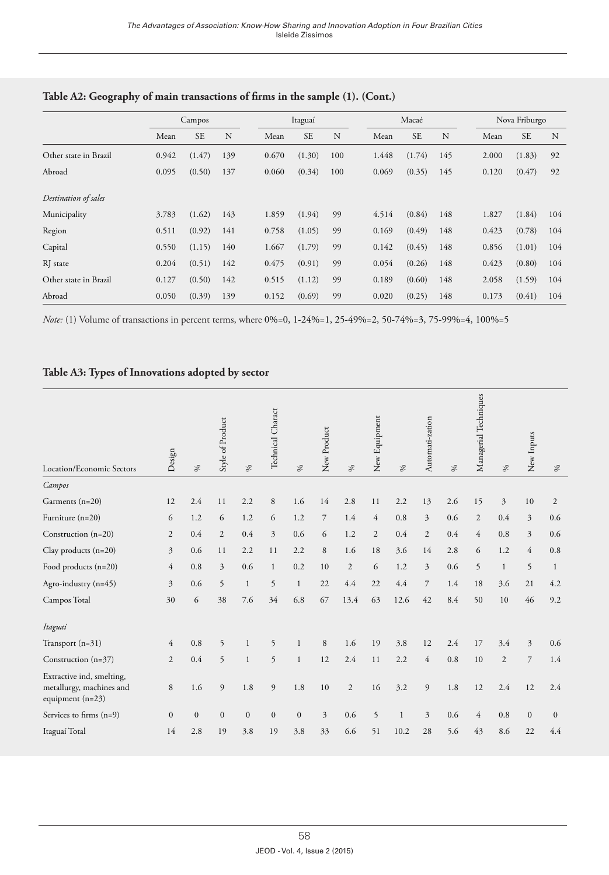|                       |       | Campos    |     |       | Itaguaí   |     | Macaé |           |     |  |       | Nova Friburgo |     |
|-----------------------|-------|-----------|-----|-------|-----------|-----|-------|-----------|-----|--|-------|---------------|-----|
|                       | Mean  | <b>SE</b> | N   | Mean  | <b>SE</b> | N   | Mean  | <b>SE</b> | N   |  | Mean  | <b>SE</b>     | N   |
| Other state in Brazil | 0.942 | (1.47)    | 139 | 0.670 | (1.30)    | 100 | 1.448 | (1.74)    | 145 |  | 2.000 | (1.83)        | 92  |
| Abroad                | 0.095 | (0.50)    | 137 | 0.060 | (0.34)    | 100 | 0.069 | (0.35)    | 145 |  | 0.120 | (0.47)        | 92  |
| Destination of sales  |       |           |     |       |           |     |       |           |     |  |       |               |     |
| Municipality          | 3.783 | (1.62)    | 143 | 1.859 | (1.94)    | 99  | 4.514 | (0.84)    | 148 |  | 1.827 | (1.84)        | 104 |
| Region                | 0.511 | (0.92)    | 141 | 0.758 | (1.05)    | 99  | 0.169 | (0.49)    | 148 |  | 0.423 | (0.78)        | 104 |
| Capital               | 0.550 | (1.15)    | 140 | 1.667 | (1.79)    | 99  | 0.142 | (0.45)    | 148 |  | 0.856 | (1.01)        | 104 |
| RJ state              | 0.204 | (0.51)    | 142 | 0.475 | (0.91)    | 99  | 0.054 | (0.26)    | 148 |  | 0.423 | (0.80)        | 104 |
| Other state in Brazil | 0.127 | (0.50)    | 142 | 0.515 | (1.12)    | 99  | 0.189 | (0.60)    | 148 |  | 2.058 | (1.59)        | 104 |
| Abroad                | 0.050 | (0.39)    | 139 | 0.152 | (0.69)    | 99  | 0.020 | (0.25)    | 148 |  | 0.173 | (0.41)        | 104 |

#### **Table A2: Geography of main transactions of firms in the sample (1). (Cont.)**

*Note:* (1) Volume of transactions in percent terms, where 0%=0, 1-24%=1, 25-49%=2, 50-74%=3, 75-99%=4, 100%=5

## **Table A3: Types of Innovations adopted by sector**

| Location/Economic Sectors                                                   | Design         | $\%$           | Style of Product | $\%$         | Technical Charact | $\%$         | New Product    | %              | New Equipment  | %            | Automati-zation | $\%$ | Managerial Techniques | %              | New Inputs     | $\%$         |
|-----------------------------------------------------------------------------|----------------|----------------|------------------|--------------|-------------------|--------------|----------------|----------------|----------------|--------------|-----------------|------|-----------------------|----------------|----------------|--------------|
| Campos                                                                      |                |                |                  |              |                   |              |                |                |                |              |                 |      |                       |                |                |              |
| Garments (n=20)                                                             | 12             | 2.4            | 11               | 2.2          | 8                 | 1.6          | 14             | 2.8            | 11             | 2.2          | 13              | 2.6  | 15                    | 3              | 10             | 2            |
| Furniture (n=20)                                                            | 6              | 1.2            | 6                | 1.2          | 6                 | 1.2          | $\overline{7}$ | 1.4            | $\overline{4}$ | 0.8          | 3               | 0.6  | $\overline{2}$        | 0.4            | $\overline{3}$ | 0.6          |
| Construction (n=20)                                                         | $\overline{c}$ | 0.4            | $\overline{c}$   | 0.4          | 3                 | 0.6          | 6              | 1.2            | $\overline{2}$ | 0.4          | $\overline{2}$  | 0.4  | $\overline{4}$        | 0.8            | $\overline{3}$ | 0.6          |
| Clay products (n=20)                                                        | $\overline{3}$ | 0.6            | 11               | 2.2          | 11                | 2.2          | 8              | 1.6            | 18             | 3.6          | 14              | 2.8  | 6                     | 1.2            | $\overline{4}$ | 0.8          |
| Food products (n=20)                                                        | $\overline{4}$ | 0.8            | $\overline{3}$   | 0.6          | 1                 | 0.2          | 10             | $\mathbf{2}$   | 6              | 1.2          | 3               | 0.6  | 5                     | $\mathbf{1}$   | 5              | $\mathbf{1}$ |
| Agro-industry $(n=45)$                                                      | 3              | 0.6            | 5                | $\mathbf{1}$ | 5                 | $\mathbf{1}$ | 22             | 4.4            | 22             | 4.4          | $\overline{7}$  | 1.4  | 18                    | 3.6            | 21             | 4.2          |
| Campos Total                                                                | 30             | 6              | 38               | 7.6          | 34                | 6.8          | 67             | 13.4           | 63             | 12.6         | 42              | 8.4  | 50                    | 10             | 46             | 9.2          |
| Itaguaí                                                                     |                |                |                  |              |                   |              |                |                |                |              |                 |      |                       |                |                |              |
| Transport (n=31)                                                            | 4              | 0.8            | 5                | $\mathbf{1}$ | 5                 | $\mathbf{1}$ | 8              | 1.6            | 19             | 3.8          | 12              | 2.4  | 17                    | 3.4            | $\overline{3}$ | 0.6          |
| Construction $(n=37)$                                                       | $\mathbf{2}$   | 0.4            | 5                | $\mathbf{1}$ | 5                 | $\mathbf{1}$ | 12             | 2.4            | 11             | 2.2          | $\overline{4}$  | 0.8  | 10                    | $\overline{2}$ | 7              | 1.4          |
| Extractive ind, smelting,<br>metallurgy, machines and<br>equipment $(n=23)$ | 8              | 1.6            | 9                | 1.8          | 9                 | 1.8          | 10             | $\overline{2}$ | 16             | 3.2          | 9               | 1.8  | 12                    | 2.4            | 12             | 2.4          |
| Services to firms $(n=9)$                                                   | $\mathbf{0}$   | $\overline{0}$ | $\mathbf{0}$     | $\mathbf{0}$ | $\mathbf{0}$      | $\mathbf{0}$ | $\overline{3}$ | 0.6            | 5              | $\mathbf{1}$ | 3               | 0.6  | $\overline{4}$        | 0.8            | $\mathbf{0}$   | $\mathbf{0}$ |
| Itaguaí Total                                                               | 14             | 2.8            | 19               | 3.8          | 19                | 3.8          | 33             | 6.6            | 51             | 10.2         | 28              | 5.6  | 43                    | 8.6            | 22             | 4.4          |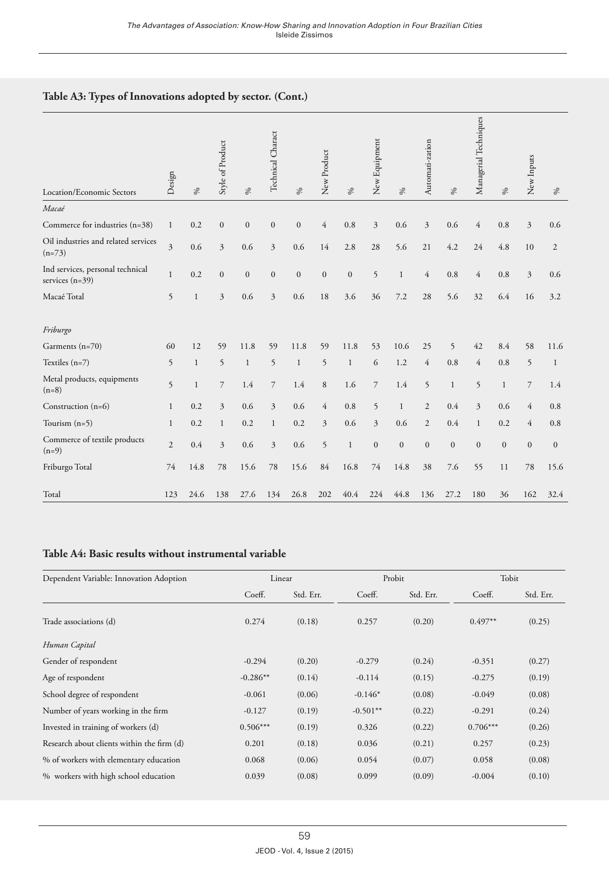## **Table A3: Types of Innovations adopted by sector. (Cont.)**

| Location/Economic Sectors                             | Design                  | %            | Style of Product | $\frac{1}{2}$ | Technical Charact | $\%$             | New Product      | $\frac{1}{2}$ | New Equipment  | $\%$         | Automati-zation | $\%$         | Managerial Techniques | %            | New Inputs     | $\%$           |
|-------------------------------------------------------|-------------------------|--------------|------------------|---------------|-------------------|------------------|------------------|---------------|----------------|--------------|-----------------|--------------|-----------------------|--------------|----------------|----------------|
| Macaé                                                 |                         |              |                  |               |                   |                  |                  |               |                |              |                 |              |                       |              |                |                |
| Commerce for industries (n=38)                        | $\mathbf{1}$            | 0.2          | $\mathbf{0}$     | $\mathbf{0}$  | $\boldsymbol{0}$  | $\mathbf{0}$     | $\overline{4}$   | 0.8           | 3              | 0.6          | 3               | 0.6          | $\overline{4}$        | 0.8          | $\overline{3}$ | 0.6            |
| Oil industries and related services<br>$(n=73)$       | $\overline{\mathbf{3}}$ | 0.6          | $\overline{3}$   | 0.6           | $\overline{3}$    | 0.6              | 14               | 2.8           | 28             | 5.6          | 21              | 4.2          | 24                    | 4.8          | 10             | $\overline{2}$ |
| Ind services, personal technical<br>services $(n=39)$ | $\mathbf{1}$            | 0.2          | $\mathbf{0}$     | $\mathbf{0}$  | $\mathbf{0}$      | $\boldsymbol{0}$ | $\boldsymbol{0}$ | $\mathbf{0}$  | 5              | $\mathbf{1}$ | $\overline{4}$  | 0.8          | $\overline{4}$        | 0.8          | $\overline{3}$ | 0.6            |
| Macaé Total                                           | 5                       | $\mathbf{1}$ | $\overline{3}$   | 0.6           | 3                 | 0.6              | 18               | 3.6           | 36             | 7.2          | 28              | 5.6          | 32                    | 6.4          | 16             | 3.2            |
| Friburgo                                              |                         |              |                  |               |                   |                  |                  |               |                |              |                 |              |                       |              |                |                |
| Garments (n=70)                                       | 60                      | 12           | 59               | 11.8          | 59                | 11.8             | 59               | 11.8          | 53             | 10.6         | 25              | 5            | 42                    | 8.4          | 58             | 11.6           |
| Textiles $(n=7)$                                      | 5                       | $\mathbf{1}$ | 5                | $\mathbf{1}$  | 5                 | $\mathbf{1}$     | 5                | $\mathbf{1}$  | 6              | 1.2          | $\overline{4}$  | 0.8          | $\overline{4}$        | 0.8          | 5              | $\mathbf{1}$   |
| Metal products, equipments<br>$(n=8)$                 | 5                       | $\mathbf{1}$ | $\overline{7}$   | 1.4           | $\overline{7}$    | 1.4              | 8                | 1.6           | $\overline{7}$ | 1.4          | 5               | $\mathbf{1}$ | 5                     | $\mathbf{1}$ | 7              | 1.4            |
| Construction $(n=6)$                                  | $\mathbf{1}$            | 0.2          | $\overline{3}$   | 0.6           | 3                 | 0.6              | $\overline{4}$   | 0.8           | 5              | $\mathbf{1}$ | $\overline{c}$  | 0.4          | $\overline{3}$        | 0.6          | $\overline{4}$ | 0.8            |
| Tourism $(n=5)$                                       | $\mathbf{1}$            | 0.2          | $\mathbf{1}$     | 0.2           | $\mathbf{1}$      | 0.2              | 3                | 0.6           | 3              | 0.6          | $\overline{2}$  | 0.4          | $\mathbf{1}$          | 0.2          | $\overline{4}$ | 0.8            |
| Commerce of textile products<br>$(n=9)$               | $\overline{2}$          | 0.4          | $\overline{3}$   | 0.6           | 3                 | 0.6              | 5                | $\mathbf{1}$  | $\mathbf{0}$   | $\mathbf{0}$ | $\mathbf{0}$    | $\mathbf{0}$ | $\mathbf{0}$          | $\mathbf{0}$ | $\mathbf{0}$   | $\mathbf{0}$   |
| Friburgo Total                                        | 74                      | 14.8         | 78               | 15.6          | 78                | 15.6             | 84               | 16.8          | 74             | 14.8         | 38              | 7.6          | 55                    | 11           | 78             | 15.6           |
| Total                                                 | 123                     | 24.6         | 138              | 27.6          | 134               | 26.8             | 202              | 40.4          | 224            | 44.8         | 136             | 27.2         | 180                   | 36           | 162            | 32.4           |

#### **Table A4: Basic results without instrumental variable**

| Dependent Variable: Innovation Adoption    | Linear     |           | Probit     |           | Tobit      |           |  |
|--------------------------------------------|------------|-----------|------------|-----------|------------|-----------|--|
|                                            | Coeff.     | Std. Err. | Coeff.     | Std. Err. | Coeff.     | Std. Err. |  |
| Trade associations (d)                     | 0.274      | (0.18)    | 0.257      | (0.20)    | $0.497**$  | (0.25)    |  |
| Human Capital                              |            |           |            |           |            |           |  |
| Gender of respondent                       | $-0.294$   | (0.20)    | $-0.279$   | (0.24)    | $-0.351$   | (0.27)    |  |
| Age of respondent                          | $-0.286**$ | (0.14)    | $-0.114$   | (0.15)    | $-0.275$   | (0.19)    |  |
| School degree of respondent                | $-0.061$   | (0.06)    | $-0.146*$  | (0.08)    | $-0.049$   | (0.08)    |  |
| Number of years working in the firm        | $-0.127$   | (0.19)    | $-0.501**$ | (0.22)    | $-0.291$   | (0.24)    |  |
| Invested in training of workers (d)        | $0.506***$ | (0.19)    | 0.326      | (0.22)    | $0.706***$ | (0.26)    |  |
| Research about clients within the firm (d) | 0.201      | (0.18)    | 0.036      | (0.21)    | 0.257      | (0.23)    |  |
| % of workers with elementary education     | 0.068      | (0.06)    | 0.054      | (0.07)    | 0.058      | (0.08)    |  |
| % workers with high school education       | 0.039      | (0.08)    | 0.099      | (0.09)    | $-0.004$   | (0.10)    |  |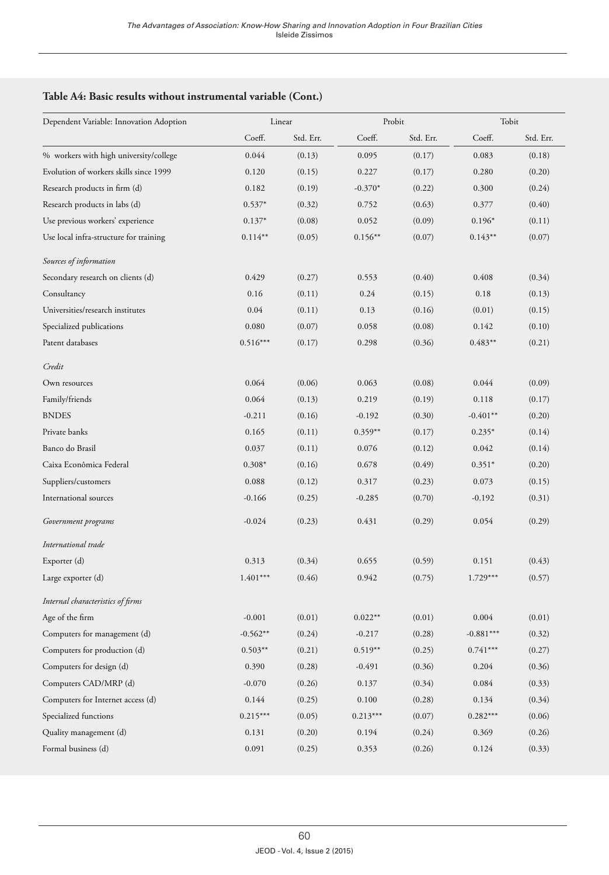#### **Table A4: Basic results without instrumental variable (Cont.)**

| Dependent Variable: Innovation Adoption |            | Linear    | Probit     |           | Tobit       |           |  |
|-----------------------------------------|------------|-----------|------------|-----------|-------------|-----------|--|
|                                         | Coeff.     | Std. Err. | Coeff.     | Std. Err. | Coeff.      | Std. Err. |  |
| % workers with high university/college  | 0.044      | (0.13)    | 0.095      | (0.17)    | 0.083       | (0.18)    |  |
| Evolution of workers skills since 1999  | 0.120      | (0.15)    | 0.227      | (0.17)    | 0.280       | (0.20)    |  |
| Research products in firm (d)           | 0.182      | (0.19)    | $-0.370*$  | (0.22)    | 0.300       | (0.24)    |  |
| Research products in labs (d)           | $0.537*$   | (0.32)    | 0.752      | (0.63)    | 0.377       | (0.40)    |  |
| Use previous workers' experience        | $0.137*$   | (0.08)    | 0.052      | (0.09)    | $0.196*$    | (0.11)    |  |
| Use local infra-structure for training  | $0.114**$  | (0.05)    | $0.156**$  | (0.07)    | $0.143**$   | (0.07)    |  |
| Sources of information                  |            |           |            |           |             |           |  |
| Secondary research on clients (d)       | 0.429      | (0.27)    | 0.553      | (0.40)    | 0.408       | (0.34)    |  |
| Consultancy                             | 0.16       | (0.11)    | 0.24       | (0.15)    | 0.18        | (0.13)    |  |
| Universities/research institutes        | 0.04       | (0.11)    | 0.13       | (0.16)    | (0.01)      | (0.15)    |  |
| Specialized publications                | 0.080      | (0.07)    | 0.058      | (0.08)    | 0.142       | (0.10)    |  |
| Patent databases                        | $0.516***$ | (0.17)    | 0.298      | (0.36)    | $0.483**$   | (0.21)    |  |
| Credit                                  |            |           |            |           |             |           |  |
| Own resources                           | 0.064      | (0.06)    | 0.063      | (0.08)    | 0.044       | (0.09)    |  |
| Family/friends                          | 0.064      | (0.13)    | 0.219      | (0.19)    | 0.118       | (0.17)    |  |
| <b>BNDES</b>                            | $-0.211$   | (0.16)    | $-0.192$   | (0.30)    | $-0.401**$  | (0.20)    |  |
| Private banks                           | 0.165      | (0.11)    | $0.359**$  | (0.17)    | $0.235*$    | (0.14)    |  |
| Banco do Brasil                         | 0.037      | (0.11)    | 0.076      | (0.12)    | 0.042       | (0.14)    |  |
| Caixa Econômica Federal                 | $0.308*$   | (0.16)    | 0.678      | (0.49)    | $0.351*$    | (0.20)    |  |
| Suppliers/customers                     | 0.088      | (0.12)    | 0.317      | (0.23)    | 0.073       | (0.15)    |  |
| International sources                   | $-0.166$   | (0.25)    | $-0.285$   | (0.70)    | $-0.192$    | (0.31)    |  |
| Government programs                     | $-0.024$   | (0.23)    | 0.431      | (0.29)    | 0.054       | (0.29)    |  |
| International trade                     |            |           |            |           |             |           |  |
| Exporter (d)                            | 0.313      | (0.34)    | 0.655      | (0.59)    | 0.151       | (0.43)    |  |
| Large exporter (d)                      | $1.401***$ | (0.46)    | 0.942      | (0.75)    | $1.729***$  | (0.57)    |  |
| Internal characteristics of firms       |            |           |            |           |             |           |  |
| Age of the firm                         | $-0.001$   | (0.01)    | $0.022**$  | (0.01)    | 0.004       | (0.01)    |  |
| Computers for management (d)            | $-0.562**$ | (0.24)    | $-0.217$   | (0.28)    | $-0.881***$ | (0.32)    |  |
| Computers for production (d)            | $0.503**$  | (0.21)    | $0.519**$  | (0.25)    | $0.741***$  | (0.27)    |  |
| Computers for design (d)                | 0.390      | (0.28)    | $-0.491$   | (0.36)    | 0.204       | (0.36)    |  |
| Computers CAD/MRP (d)                   | $-0.070$   | (0.26)    | 0.137      | (0.34)    | 0.084       | (0.33)    |  |
| Computers for Internet access (d)       | 0.144      | (0.25)    | 0.100      | (0.28)    | 0.134       | (0.34)    |  |
| Specialized functions                   | $0.215***$ | (0.05)    | $0.213***$ | (0.07)    | $0.282***$  | (0.06)    |  |
| Quality management (d)                  | 0.131      | (0.20)    | 0.194      | (0.24)    | 0.369       | (0.26)    |  |
| Formal business (d)                     | 0.091      | (0.25)    | 0.353      | (0.26)    | 0.124       | (0.33)    |  |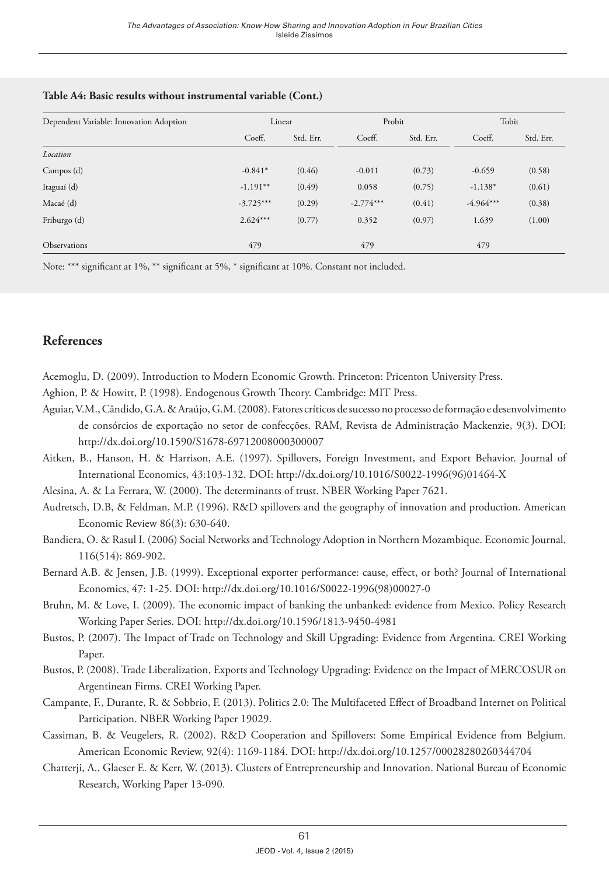| Dependent Variable: Innovation Adoption | Linear      |           | Probit      |           | Tobit       |           |  |
|-----------------------------------------|-------------|-----------|-------------|-----------|-------------|-----------|--|
|                                         | Coeff.      | Std. Err. | Coeff.      | Std. Err. | Coeff.      | Std. Err. |  |
| Location                                |             |           |             |           |             |           |  |
| Campos (d)                              | $-0.841*$   | (0.46)    | $-0.011$    | (0.73)    | $-0.659$    | (0.58)    |  |
| Itaguaí (d)                             | $-1.191**$  | (0.49)    | 0.058       | (0.75)    | $-1.138*$   | (0.61)    |  |
| Macaé (d)                               | $-3.725***$ | (0.29)    | $-2.774***$ | (0.41)    | $-4.964***$ | (0.38)    |  |
| Friburgo (d)                            | $2.624***$  | (0.77)    | 0.352       | (0.97)    | 1.639       | (1.00)    |  |
| Observations                            | 479         |           | 479         |           | 479         |           |  |

#### **Table A4: Basic results without instrumental variable (Cont.)**

Note: \*\*\* significant at 1%, \*\* significant at 5%, \* significant at 10%. Constant not included.

## **References**

Acemoglu, D. (2009). Introduction to Modern Economic Growth. Princeton: Pricenton University Press.

Aghion, P. & Howitt, P. (1998). Endogenous Growth Theory. Cambridge: MIT Press.

- Aguiar, V.M., Cândido, G.A. & Araújo, G.M. (2008). Fatores críticos de sucesso no processo de formação e desenvolvimento de consórcios de exportação no setor de confecções. RAM, Revista de Administração Mackenzie, 9(3). DOI: <http://dx.doi.org/10.1590/S1678-69712008000300007>
- Aitken, B., Hanson, H. & Harrison, A.E. (1997). Spillovers, Foreign Investment, and Export Behavior. Journal of International Economics, 43:103-132. DOI: [http://dx.doi.org/10.1016/S0022-1996\(96\)01464-X](http://dx.doi.org/10.1016/S0022-1996(96)01464-X)

Alesina, A. & La Ferrara, W. (2000). The determinants of trust. NBER Working Paper 7621.

- Audretsch, D.B, & Feldman, M.P. (1996). R&D spillovers and the geography of innovation and production. American Economic Review 86(3): 630-640.
- Bandiera, O. & Rasul I. (2006) Social Networks and Technology Adoption in Northern Mozambique. Economic Journal, 116(514): 869-902.
- Bernard A.B. & Jensen, J.B. (1999). Exceptional exporter performance: cause, effect, or both? Journal of International Economics, 47: 1-25. DOI: [http://dx.doi.org/10.1016/S0022-1996\(98\)00027-0](http://dx.doi.org/10.1016/S0022-1996(98)00027-0)
- Bruhn, M. & Love, I. (2009). The economic impact of banking the unbanked: evidence from Mexico. Policy Research Working Paper Series. DOI: <http://dx.doi.org/10.1596/1813-9450-4981>
- Bustos, P. (2007). The Impact of Trade on Technology and Skill Upgrading: Evidence from Argentina. CREI Working Paper.
- Bustos, P. (2008). Trade Liberalization, Exports and Technology Upgrading: Evidence on the Impact of MERCOSUR on Argentinean Firms. CREI Working Paper.
- Campante, F., Durante, R. & Sobbrio, F. (2013). Politics 2.0: The Multifaceted Effect of Broadband Internet on Political Participation. NBER Working Paper 19029.
- Cassiman, B. & Veugelers, R. (2002). R&D Cooperation and Spillovers: Some Empirical Evidence from Belgium. American Economic Review, 92(4): 1169-1184. DOI:<http://dx.doi.org/10.1257/00028280260344704>
- Chatterji, A., Glaeser E. & Kerr, W. (2013). Clusters of Entrepreneurship and Innovation. National Bureau of Economic Research, Working Paper 13-090.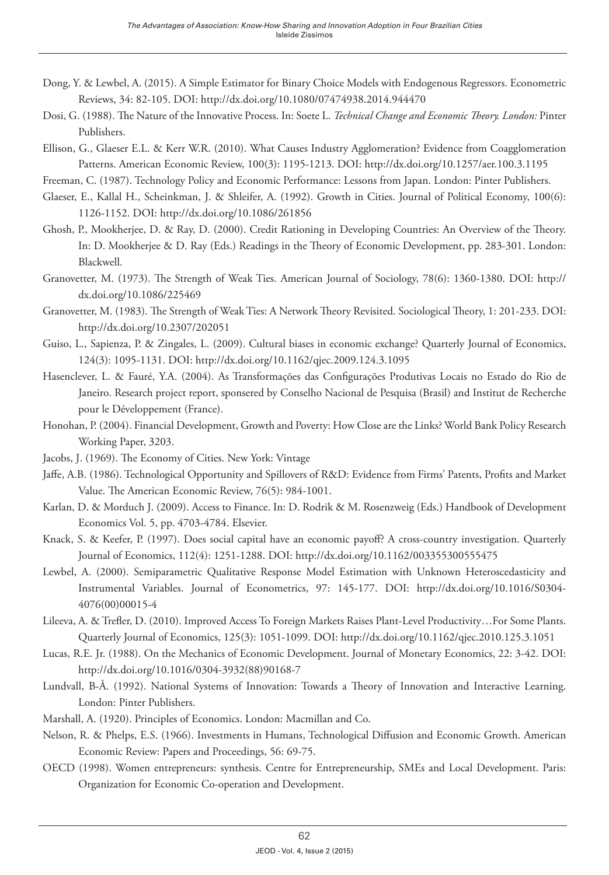- Dong, Y. & Lewbel, A. (2015). A Simple Estimator for Binary Choice Models with Endogenous Regressors. Econometric Reviews, 34: 82-105. DOI: <http://dx.doi.org/10.1080/07474938.2014.944470>
- Dosi, G. (1988). The Nature of the Innovative Process. In: Soete L. *Technical Change and Economic Theory. London:* Pinter Publishers.
- Ellison, G., Glaeser E.L. & Kerr W.R. (2010). What Causes Industry Agglomeration? Evidence from Coagglomeration Patterns. American Economic Review, 100(3): 1195-1213. DOI:<http://dx.doi.org/10.1257/aer.100.3.1195>
- Freeman, C. (1987). Technology Policy and Economic Performance: Lessons from Japan. London: Pinter Publishers.
- Glaeser, E., Kallal H., Scheinkman, J. & Shleifer, A. (1992). Growth in Cities. Journal of Political Economy, 100(6): 1126-1152. DOI:<http://dx.doi.org/10.1086/261856>
- Ghosh, P., Mookherjee, D. & Ray, D. (2000). Credit Rationing in Developing Countries: An Overview of the Theory. In: D. Mookherjee & D. Ray (Eds.) Readings in the Theory of Economic Development, pp. 283-301. London: Blackwell.
- Granovetter, M. (1973). The Strength of Weak Ties. American Journal of Sociology, 78(6): 1360-1380. DOI: [http://](http://dx.doi.org/10.1086/225469) [dx.doi.org/10.1086/225469](http://dx.doi.org/10.1086/225469)
- Granovetter, M. (1983). The Strength of Weak Ties: A Network Theory Revisited. Sociological Theory, 1: 201-233. DOI: <http://dx.doi.org/10.2307/202051>
- Guiso, L., Sapienza, P. & Zingales, L. (2009). Cultural biases in economic exchange? Quarterly Journal of Economics, 124(3): 1095-1131. DOI: <http://dx.doi.org/10.1162/qjec.2009.124.3.1095>
- Hasenclever, L. & Fauré, Y.A. (2004). As Transformações das Configurações Produtivas Locais no Estado do Rio de Janeiro. Research project report, sponsered by Conselho Nacional de Pesquisa (Brasil) and Institut de Recherche pour le Développement (France).
- Honohan, P. (2004). Financial Development, Growth and Poverty: How Close are the Links? World Bank Policy Research Working Paper, 3203.
- Jacobs, J. (1969). The Economy of Cities. New York: Vintage
- Jaffe, A.B. (1986). Technological Opportunity and Spillovers of R&D: Evidence from Firms' Patents, Profits and Market Value. The American Economic Review, 76(5): 984-1001.
- Karlan, D. & Morduch J. (2009). Access to Finance. In: D. Rodrik & M. Rosenzweig (Eds.) Handbook of Development Economics Vol. 5, pp. 4703-4784. Elsevier.
- Knack, S. & Keefer, P. (1997). Does social capital have an economic payoff? A cross-country investigation. Quarterly Journal of Economics, 112(4): 1251-1288. DOI:<http://dx.doi.org/10.1162/003355300555475>
- Lewbel, A. (2000). Semiparametric Qualitative Response Model Estimation with Unknown Heteroscedasticity and Instrumental Variables. Journal of Econometrics, 97: 145-177. DOI: [http://dx.doi.org/10.1016/S0304-](http://dx.doi.org/10.1016/S0304-4076(00)00015-4) [4076\(00\)00015-4](http://dx.doi.org/10.1016/S0304-4076(00)00015-4)
- Lileeva, A. & Trefler, D. (2010). Improved Access To Foreign Markets Raises Plant-Level Productivity…For Some Plants. Quarterly Journal of Economics, 125(3): 1051-1099. DOI:<http://dx.doi.org/10.1162/qjec.2010.125.3.1051>
- Lucas, R.E. Jr. (1988). On the Mechanics of Economic Development. Journal of Monetary Economics, 22: 3-42. DOI: [http://dx.doi.org/10.1016/0304-3932\(88\)90168-7](http://dx.doi.org/10.1016/0304-3932(88)90168-7)
- Lundvall, B-Å. (1992). National Systems of Innovation: Towards a Theory of Innovation and Interactive Learning. London: Pinter Publishers.
- Marshall, A. (1920). Principles of Economics. London: Macmillan and Co.
- Nelson, R. & Phelps, E.S. (1966). Investments in Humans, Technological Diffusion and Economic Growth. American Economic Review: Papers and Proceedings, 56: 69-75.
- OECD (1998). Women entrepreneurs: synthesis. Centre for Entrepreneurship, SMEs and Local Development. Paris: Organization for Economic Co-operation and Development.